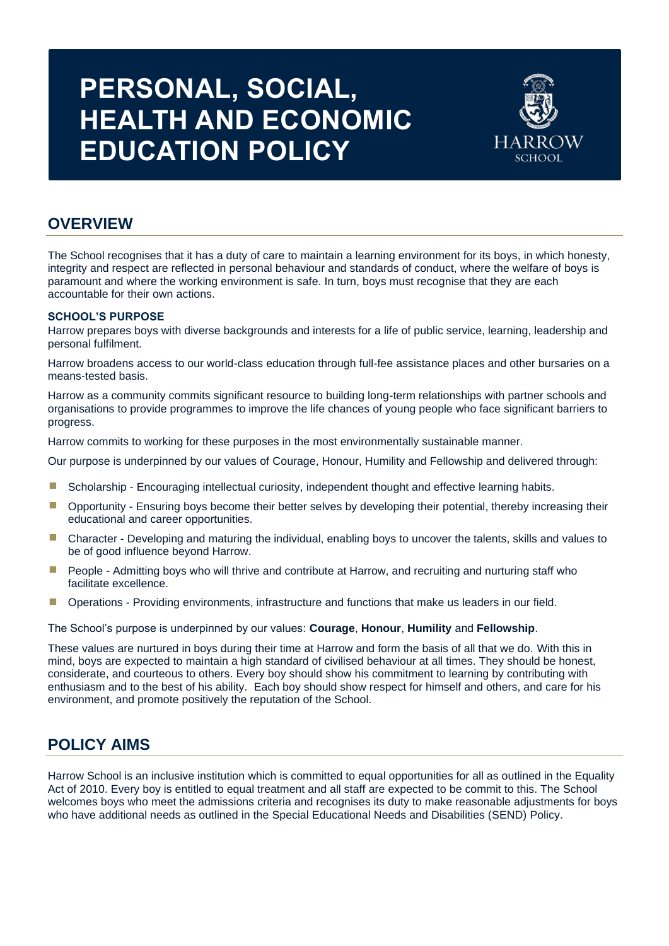# **PERSONAL, SOCIAL, HEALTH AND ECONOMIC EDUCATION POLICY**



# **OVERVIEW**

Ĩ

The School recognises that it has a duty of care to maintain a learning environment for its boys, in which honesty, integrity and respect are reflected in personal behaviour and standards of conduct, where the welfare of boys is paramount and where the working environment is safe. In turn, boys must recognise that they are each accountable for their own actions.

# **SCHOOL'S PURPOSE**

Harrow prepares boys with diverse backgrounds and interests for a life of public service, learning, leadership and personal fulfilment.

Harrow broadens access to our world-class education through full-fee assistance places and other bursaries on a means-tested basis.

Harrow as a community commits significant resource to building long-term relationships with partner schools and organisations to provide programmes to improve the life chances of young people who face significant barriers to progress.

Harrow commits to working for these purposes in the most environmentally sustainable manner.

Our purpose is underpinned by our values of Courage, Honour, Humility and Fellowship and delivered through:

- Scholarship Encouraging intellectual curiosity, independent thought and effective learning habits.
- **•** Opportunity Ensuring boys become their better selves by developing their potential, thereby increasing their educational and career opportunities.
- Character Developing and maturing the individual, enabling boys to uncover the talents, skills and values to be of good influence beyond Harrow.
- **E** People Admitting boys who will thrive and contribute at Harrow, and recruiting and nurturing staff who facilitate excellence.
- **•** Operations Providing environments, infrastructure and functions that make us leaders in our field.

The School's purpose is underpinned by our values: **Courage**, **Honour**, **Humility** and **Fellowship**.

These values are nurtured in boys during their time at Harrow and form the basis of all that we do. With this in mind, boys are expected to maintain a high standard of civilised behaviour at all times. They should be honest, considerate, and courteous to others. Every boy should show his commitment to learning by contributing with enthusiasm and to the best of his ability. Each boy should show respect for himself and others, and care for his environment, and promote positively the reputation of the School.

# **POLICY AIMS**

Harrow School is an inclusive institution which is committed to equal opportunities for all as outlined in the Equality Act of 2010. Every boy is entitled to equal treatment and all staff are expected to be commit to this. The School welcomes boys who meet the admissions criteria and recognises its duty to make reasonable adjustments for boys who have additional needs as outlined in the Special Educational Needs and Disabilities (SEND) Policy.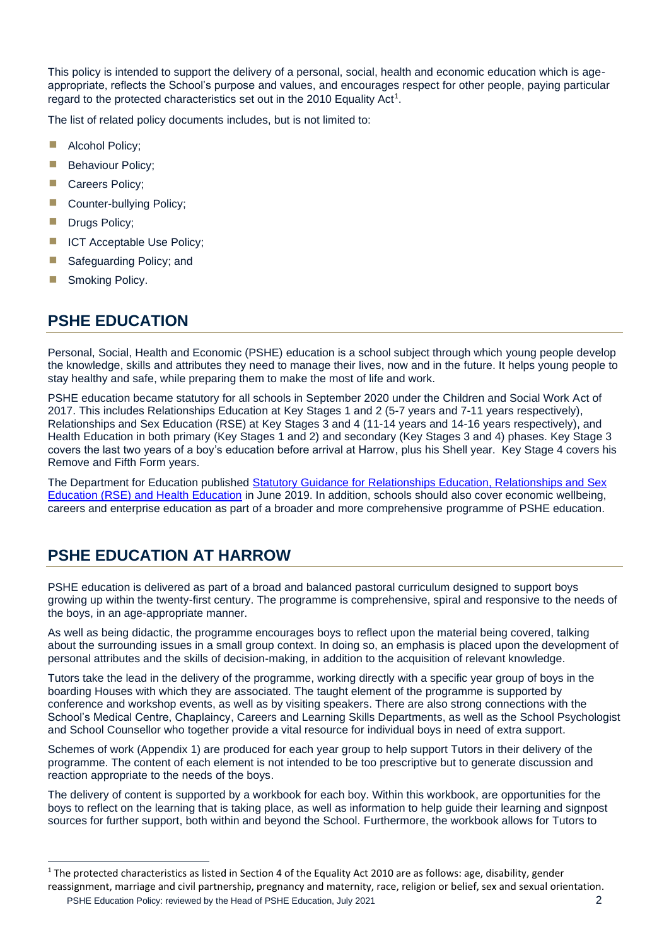This policy is intended to support the delivery of a personal, social, health and economic education which is ageappropriate, reflects the School's purpose and values, and encourages respect for other people, paying particular regard to the protected characteristics set out in the 2010 Equality Act<sup>1</sup>.

The list of related policy documents includes, but is not limited to:

- **E** Alcohol Policy;
- **Behaviour Policy;**
- Careers Policy:
- Counter-bullving Policy:
- **Drugs Policy;**
- **E** ICT Acceptable Use Policy;
- Safeguarding Policy; and
- **B** Smoking Policy.

# **PSHE EDUCATION**

Personal, Social, Health and Economic (PSHE) education is a school subject through which young people develop the knowledge, skills and attributes they need to manage their lives, now and in the future. It helps young people to stay healthy and safe, while preparing them to make the most of life and work.

PSHE education became statutory for all schools in September 2020 under the Children and Social Work Act of 2017. This includes Relationships Education at Key Stages 1 and 2 (5-7 years and 7-11 years respectively), Relationships and Sex Education (RSE) at Key Stages 3 and 4 (11-14 years and 14-16 years respectively), and Health Education in both primary (Key Stages 1 and 2) and secondary (Key Stages 3 and 4) phases. Key Stage 3 covers the last two years of a boy's education before arrival at Harrow, plus his Shell year. Key Stage 4 covers his Remove and Fifth Form years.

The Department for Education published [Statutory Guidance for Relationships Education, Relationships and Sex](https://www.gov.uk/government/publications/relationships-education-relationships-and-sex-education-rse-and-health-education)  [Education \(RSE\) and Health Education](https://www.gov.uk/government/publications/relationships-education-relationships-and-sex-education-rse-and-health-education) in June 2019. In addition, schools should also cover economic wellbeing, careers and enterprise education as part of a broader and more comprehensive programme of PSHE education.

# **PSHE EDUCATION AT HARROW**

PSHE education is delivered as part of a broad and balanced pastoral curriculum designed to support boys growing up within the twenty-first century. The programme is comprehensive, spiral and responsive to the needs of the boys, in an age-appropriate manner.

As well as being didactic, the programme encourages boys to reflect upon the material being covered, talking about the surrounding issues in a small group context. In doing so, an emphasis is placed upon the development of personal attributes and the skills of decision-making, in addition to the acquisition of relevant knowledge.

Tutors take the lead in the delivery of the programme, working directly with a specific year group of boys in the boarding Houses with which they are associated. The taught element of the programme is supported by conference and workshop events, as well as by visiting speakers. There are also strong connections with the School's Medical Centre, Chaplaincy, Careers and Learning Skills Departments, as well as the School Psychologist and School Counsellor who together provide a vital resource for individual boys in need of extra support.

Schemes of work (Appendix 1) are produced for each year group to help support Tutors in their delivery of the programme. The content of each element is not intended to be too prescriptive but to generate discussion and reaction appropriate to the needs of the boys.

The delivery of content is supported by a workbook for each boy. Within this workbook, are opportunities for the boys to reflect on the learning that is taking place, as well as information to help guide their learning and signpost sources for further support, both within and beyond the School. Furthermore, the workbook allows for Tutors to

PSHE Education Policy: reviewed by the Head of PSHE Education, July 2021 2 reassignment, marriage and civil partnership, pregnancy and maternity, race, religion or belief, sex and sexual orientation.

<sup>&</sup>lt;sup>1</sup> The protected characteristics as listed in Section 4 of the Equality Act 2010 are as follows: age, disability, gender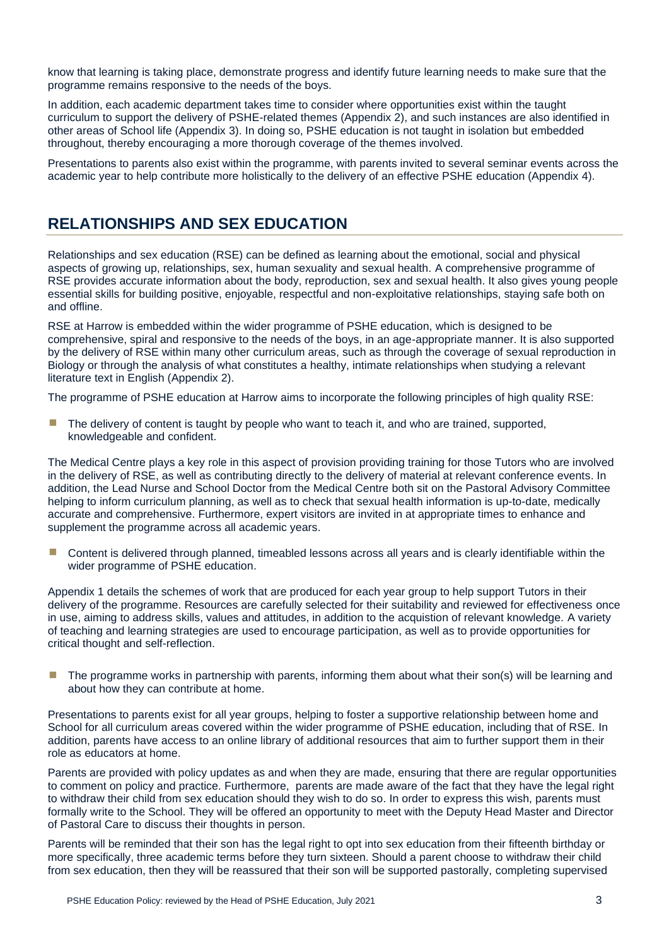know that learning is taking place, demonstrate progress and identify future learning needs to make sure that the programme remains responsive to the needs of the boys.

In addition, each academic department takes time to consider where opportunities exist within the taught curriculum to support the delivery of PSHE-related themes (Appendix 2), and such instances are also identified in other areas of School life (Appendix 3). In doing so, PSHE education is not taught in isolation but embedded throughout, thereby encouraging a more thorough coverage of the themes involved.

Presentations to parents also exist within the programme, with parents invited to several seminar events across the academic year to help contribute more holistically to the delivery of an effective PSHE education (Appendix 4).

# **RELATIONSHIPS AND SEX EDUCATION**

Relationships and sex education (RSE) can be defined as learning about the emotional, social and physical aspects of growing up, relationships, sex, human sexuality and sexual health. A comprehensive programme of RSE provides accurate information about the body, reproduction, sex and sexual health. It also gives young people essential skills for building positive, enjoyable, respectful and non-exploitative relationships, staying safe both on and offline.

RSE at Harrow is embedded within the wider programme of PSHE education, which is designed to be comprehensive, spiral and responsive to the needs of the boys, in an age-appropriate manner. It is also supported by the delivery of RSE within many other curriculum areas, such as through the coverage of sexual reproduction in Biology or through the analysis of what constitutes a healthy, intimate relationships when studying a relevant literature text in English (Appendix 2).

The programme of PSHE education at Harrow aims to incorporate the following principles of high quality RSE:

**The delivery of content is taught by people who want to teach it, and who are trained, supported,** knowledgeable and confident.

The Medical Centre plays a key role in this aspect of provision providing training for those Tutors who are involved in the delivery of RSE, as well as contributing directly to the delivery of material at relevant conference events. In addition, the Lead Nurse and School Doctor from the Medical Centre both sit on the Pastoral Advisory Committee helping to inform curriculum planning, as well as to check that sexual health information is up-to-date, medically accurate and comprehensive. Furthermore, expert visitors are invited in at appropriate times to enhance and supplement the programme across all academic years.

Content is delivered through planned, timeabled lessons across all years and is clearly identifiable within the wider programme of PSHE education.

Appendix 1 details the schemes of work that are produced for each year group to help support Tutors in their delivery of the programme. Resources are carefully selected for their suitability and reviewed for effectiveness once in use, aiming to address skills, values and attitudes, in addition to the acquistion of relevant knowledge. A variety of teaching and learning strategies are used to encourage participation, as well as to provide opportunities for critical thought and self-reflection.

The programme works in partnership with parents, informing them about what their son(s) will be learning and about how they can contribute at home.

Presentations to parents exist for all year groups, helping to foster a supportive relationship between home and School for all curriculum areas covered within the wider programme of PSHE education, including that of RSE. In addition, parents have access to an online library of additional resources that aim to further support them in their role as educators at home.

Parents are provided with policy updates as and when they are made, ensuring that there are regular opportunities to comment on policy and practice. Furthermore, parents are made aware of the fact that they have the legal right to withdraw their child from sex education should they wish to do so. In order to express this wish, parents must formally write to the School. They will be offered an opportunity to meet with the Deputy Head Master and Director of Pastoral Care to discuss their thoughts in person.

Parents will be reminded that their son has the legal right to opt into sex education from their fifteenth birthday or more specifically, three academic terms before they turn sixteen. Should a parent choose to withdraw their child from sex education, then they will be reassured that their son will be supported pastorally, completing supervised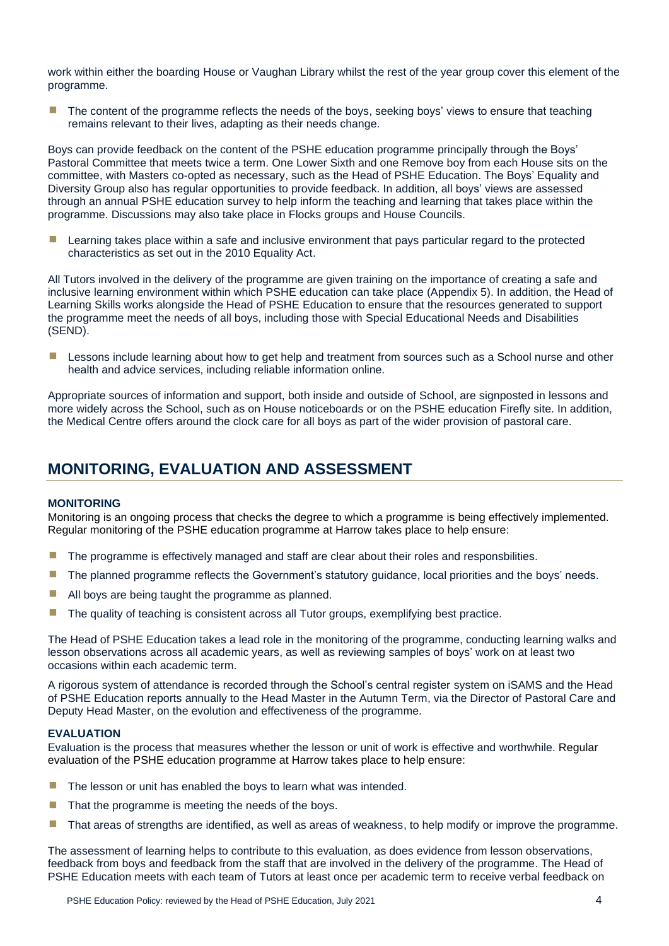work within either the boarding House or Vaughan Library whilst the rest of the year group cover this element of the programme.

The content of the programme reflects the needs of the boys, seeking boys' views to ensure that teaching remains relevant to their lives, adapting as their needs change.

Boys can provide feedback on the content of the PSHE education programme principally through the Boys' Pastoral Committee that meets twice a term. One Lower Sixth and one Remove boy from each House sits on the committee, with Masters co-opted as necessary, such as the Head of PSHE Education. The Boys' Equality and Diversity Group also has regular opportunities to provide feedback. In addition, all boys' views are assessed through an annual PSHE education survey to help inform the teaching and learning that takes place within the programme. Discussions may also take place in Flocks groups and House Councils.

Learning takes place within a safe and inclusive environment that pays particular regard to the protected characteristics as set out in the 2010 Equality Act.

All Tutors involved in the delivery of the programme are given training on the importance of creating a safe and inclusive learning environment within which PSHE education can take place (Appendix 5). In addition, the Head of Learning Skills works alongside the Head of PSHE Education to ensure that the resources generated to support the programme meet the needs of all boys, including those with Special Educational Needs and Disabilities (SEND).

**E** Lessons include learning about how to get help and treatment from sources such as a School nurse and other health and advice services, including reliable information online.

Appropriate sources of information and support, both inside and outside of School, are signposted in lessons and more widely across the School, such as on House noticeboards or on the PSHE education Firefly site. In addition, the Medical Centre offers around the clock care for all boys as part of the wider provision of pastoral care.

# **MONITORING, EVALUATION AND ASSESSMENT**

# **MONITORING**

Monitoring is an ongoing process that checks the degree to which a programme is being effectively implemented. Regular monitoring of the PSHE education programme at Harrow takes place to help ensure:

- **The programme is effectively managed and staff are clear about their roles and responsbilities.**
- **The planned programme reflects the Government's statutory guidance, local priorities and the boys' needs.**
- All boys are being taught the programme as planned.
- **The quality of teaching is consistent across all Tutor groups, exemplifying best practice.**

The Head of PSHE Education takes a lead role in the monitoring of the programme, conducting learning walks and lesson observations across all academic years, as well as reviewing samples of boys' work on at least two occasions within each academic term.

A rigorous system of attendance is recorded through the School's central register system on iSAMS and the Head of PSHE Education reports annually to the Head Master in the Autumn Term, via the Director of Pastoral Care and Deputy Head Master, on the evolution and effectiveness of the programme.

#### **EVALUATION**

Evaluation is the process that measures whether the lesson or unit of work is effective and worthwhile. Regular evaluation of the PSHE education programme at Harrow takes place to help ensure:

- $\blacksquare$  The lesson or unit has enabled the boys to learn what was intended.
- That the programme is meeting the needs of the boys.
- That areas of strengths are identified, as well as areas of weakness, to help modify or improve the programme.

The assessment of learning helps to contribute to this evaluation, as does evidence from lesson observations, feedback from boys and feedback from the staff that are involved in the delivery of the programme. The Head of PSHE Education meets with each team of Tutors at least once per academic term to receive verbal feedback on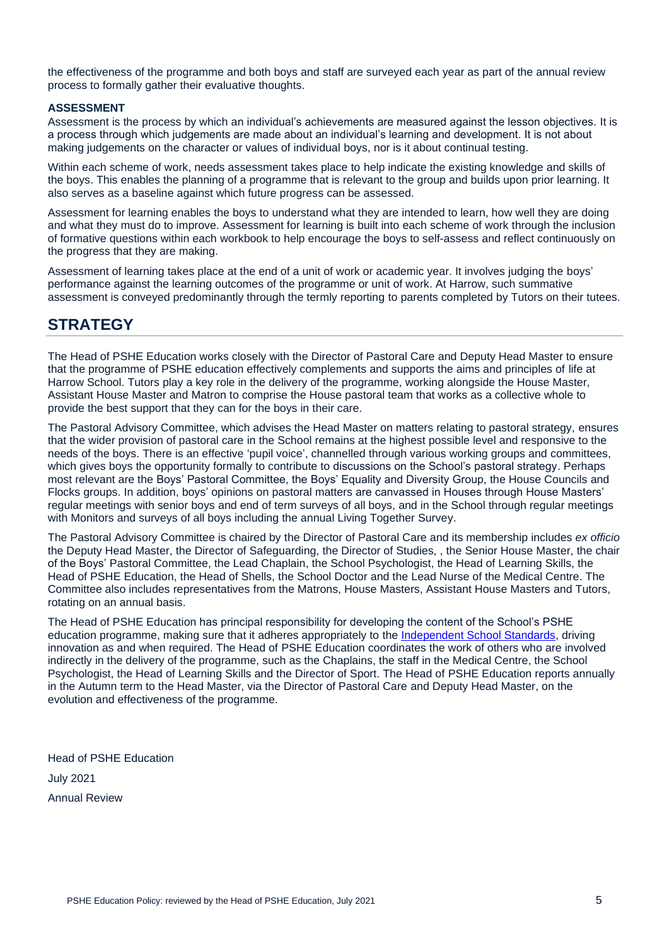the effectiveness of the programme and both boys and staff are surveyed each year as part of the annual review process to formally gather their evaluative thoughts.

#### **ASSESSMENT**

Assessment is the process by which an individual's achievements are measured against the lesson objectives. It is a process through which judgements are made about an individual's learning and development. It is not about making judgements on the character or values of individual boys, nor is it about continual testing.

Within each scheme of work, needs assessment takes place to help indicate the existing knowledge and skills of the boys. This enables the planning of a programme that is relevant to the group and builds upon prior learning. It also serves as a baseline against which future progress can be assessed.

Assessment for learning enables the boys to understand what they are intended to learn, how well they are doing and what they must do to improve. Assessment for learning is built into each scheme of work through the inclusion of formative questions within each workbook to help encourage the boys to self-assess and reflect continuously on the progress that they are making.

Assessment of learning takes place at the end of a unit of work or academic year. It involves judging the boys' performance against the learning outcomes of the programme or unit of work. At Harrow, such summative assessment is conveyed predominantly through the termly reporting to parents completed by Tutors on their tutees.

# **STRATEGY**

The Head of PSHE Education works closely with the Director of Pastoral Care and Deputy Head Master to ensure that the programme of PSHE education effectively complements and supports the aims and principles of life at Harrow School. Tutors play a key role in the delivery of the programme, working alongside the House Master, Assistant House Master and Matron to comprise the House pastoral team that works as a collective whole to provide the best support that they can for the boys in their care.

The Pastoral Advisory Committee, which advises the Head Master on matters relating to pastoral strategy, ensures that the wider provision of pastoral care in the School remains at the highest possible level and responsive to the needs of the boys. There is an effective 'pupil voice', channelled through various working groups and committees, which gives boys the opportunity formally to contribute to discussions on the School's pastoral strategy. Perhaps most relevant are the Boys' Pastoral Committee, the Boys' Equality and Diversity Group, the House Councils and Flocks groups. In addition, boys' opinions on pastoral matters are canvassed in Houses through House Masters' regular meetings with senior boys and end of term surveys of all boys, and in the School through regular meetings with Monitors and surveys of all boys including the annual Living Together Survey.

The Pastoral Advisory Committee is chaired by the Director of Pastoral Care and its membership includes *ex officio* the Deputy Head Master, the Director of Safeguarding, the Director of Studies, , the Senior House Master, the chair of the Boys' Pastoral Committee, the Lead Chaplain, the School Psychologist, the Head of Learning Skills, the Head of PSHE Education, the Head of Shells, the School Doctor and the Lead Nurse of the Medical Centre. The Committee also includes representatives from the Matrons, House Masters, Assistant House Masters and Tutors, rotating on an annual basis.

The Head of PSHE Education has principal responsibility for developing the content of the School's PSHE education programme, making sure that it adheres appropriately to the [Independent School Standards,](https://assets.publishing.service.gov.uk/government/uploads/system/uploads/attachment_data/file/800615/Independent_School_Standards-_Guidance_070519.pdf) driving innovation as and when required. The Head of PSHE Education coordinates the work of others who are involved indirectly in the delivery of the programme, such as the Chaplains, the staff in the Medical Centre, the School Psychologist, the Head of Learning Skills and the Director of Sport. The Head of PSHE Education reports annually in the Autumn term to the Head Master, via the Director of Pastoral Care and Deputy Head Master, on the evolution and effectiveness of the programme.

Head of PSHE Education July 2021 Annual Review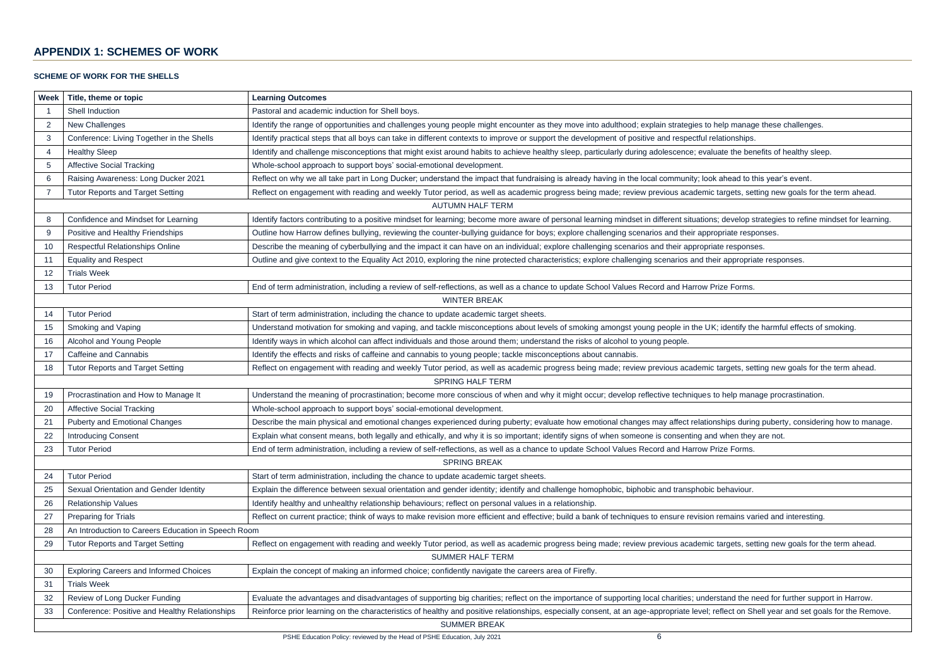# **APPENDIX 1: SCHEMES OF WORK**

# **SCHEME OF WORK FOR THE SHELLS**

| Week                                          | Title, theme or topic                                                                                       | <b>Learning Outcomes</b>                                                                                                                                      |  |  |  |
|-----------------------------------------------|-------------------------------------------------------------------------------------------------------------|---------------------------------------------------------------------------------------------------------------------------------------------------------------|--|--|--|
|                                               | Shell Induction                                                                                             | Pastoral and academic induction for Shell boys.                                                                                                               |  |  |  |
| $\overline{2}$                                | New Challenges                                                                                              | Identify the range of opportunities and challenges young people might encounter as they move into adulthood; explain strategies to help manage these          |  |  |  |
| 3                                             | Conference: Living Together in the Shells                                                                   | Identify practical steps that all boys can take in different contexts to improve or support the development of positive and respectful relationships.         |  |  |  |
| 4                                             | <b>Healthy Sleep</b>                                                                                        | Identify and challenge misconceptions that might exist around habits to achieve healthy sleep, particularly during adolescence; evaluate the benefits of I    |  |  |  |
| 5                                             | <b>Affective Social Tracking</b>                                                                            | Whole-school approach to support boys' social-emotional development.                                                                                          |  |  |  |
| 6                                             | Raising Awareness: Long Ducker 2021                                                                         | Reflect on why we all take part in Long Ducker; understand the impact that fundraising is already having in the local community; look ahead to this year'     |  |  |  |
|                                               | <b>Tutor Reports and Target Setting</b>                                                                     | Reflect on engagement with reading and weekly Tutor period, as well as academic progress being made; review previous academic targets, setting new            |  |  |  |
|                                               |                                                                                                             | <b>AUTUMN HALF TERM</b>                                                                                                                                       |  |  |  |
| 8                                             | Confidence and Mindset for Learning                                                                         | Identify factors contributing to a positive mindset for learning; become more aware of personal learning mindset in different situations; develop strategies  |  |  |  |
| 9                                             | Positive and Healthy Friendships                                                                            | Outline how Harrow defines bullying, reviewing the counter-bullying guidance for boys; explore challenging scenarios and their appropriate responses.         |  |  |  |
| 10                                            | <b>Respectful Relationships Online</b>                                                                      | Describe the meaning of cyberbullying and the impact it can have on an individual; explore challenging scenarios and their appropriate responses.             |  |  |  |
| 11                                            | <b>Equality and Respect</b>                                                                                 | Outline and give context to the Equality Act 2010, exploring the nine protected characteristics; explore challenging scenarios and their appropriate respo    |  |  |  |
| 12                                            | <b>Trials Week</b>                                                                                          |                                                                                                                                                               |  |  |  |
| 13                                            | <b>Tutor Period</b>                                                                                         | End of term administration, including a review of self-reflections, as well as a chance to update School Values Record and Harrow Prize Forms.                |  |  |  |
|                                               | <b>WINTER BREAK</b>                                                                                         |                                                                                                                                                               |  |  |  |
| 14                                            | <b>Tutor Period</b><br>Start of term administration, including the chance to update academic target sheets. |                                                                                                                                                               |  |  |  |
| 15                                            | Smoking and Vaping                                                                                          | Understand motivation for smoking and vaping, and tackle misconceptions about levels of smoking amongst young people in the UK; identify the harmfu           |  |  |  |
| 16                                            | Alcohol and Young People                                                                                    | Identify ways in which alcohol can affect individuals and those around them; understand the risks of alcohol to young people.                                 |  |  |  |
| 17                                            | <b>Caffeine and Cannabis</b>                                                                                | Identify the effects and risks of caffeine and cannabis to young people; tackle misconceptions about cannabis.                                                |  |  |  |
| <b>Tutor Reports and Target Setting</b><br>18 |                                                                                                             | Reflect on engagement with reading and weekly Tutor period, as well as academic progress being made; review previous academic targets, setting new            |  |  |  |
|                                               |                                                                                                             | <b>SPRING HALF TERM</b>                                                                                                                                       |  |  |  |
| 19                                            | Procrastination and How to Manage It                                                                        | Understand the meaning of procrastination; become more conscious of when and why it might occur; develop reflective techniques to help manage proc            |  |  |  |
| 20                                            | <b>Affective Social Tracking</b>                                                                            | Whole-school approach to support boys' social-emotional development.                                                                                          |  |  |  |
| 21                                            | <b>Puberty and Emotional Changes</b>                                                                        | Describe the main physical and emotional changes experienced during puberty; evaluate how emotional changes may affect relationships during pubert            |  |  |  |
| 22                                            | <b>Introducing Consent</b>                                                                                  | Explain what consent means, both legally and ethically, and why it is so important; identify signs of when someone is consenting and when they are not.       |  |  |  |
| 23                                            | <b>Tutor Period</b>                                                                                         | End of term administration, including a review of self-reflections, as well as a chance to update School Values Record and Harrow Prize Forms.                |  |  |  |
|                                               |                                                                                                             | <b>SPRING BREAK</b>                                                                                                                                           |  |  |  |
| 24                                            | <b>Tutor Period</b>                                                                                         | Start of term administration, including the chance to update academic target sheets.                                                                          |  |  |  |
| 25                                            | Sexual Orientation and Gender Identity                                                                      | Explain the difference between sexual orientation and gender identity; identify and challenge homophobic, biphobic and transphobic behaviour.                 |  |  |  |
| 26                                            | <b>Relationship Values</b>                                                                                  | Identify healthy and unhealthy relationship behaviours; reflect on personal values in a relationship.                                                         |  |  |  |
| 27                                            | Preparing for Trials                                                                                        | Reflect on current practice; think of ways to make revision more efficient and effective; build a bank of techniques to ensure revision remains varied and    |  |  |  |
| 28                                            | An Introduction to Careers Education in Speech Room                                                         |                                                                                                                                                               |  |  |  |
| 29                                            | <b>Tutor Reports and Target Setting</b>                                                                     | Reflect on engagement with reading and weekly Tutor period, as well as academic progress being made; review previous academic targets, setting new            |  |  |  |
|                                               |                                                                                                             | <b>SUMMER HALF TERM</b>                                                                                                                                       |  |  |  |
| 30                                            | <b>Exploring Careers and Informed Choices</b>                                                               | Explain the concept of making an informed choice; confidently navigate the careers area of Firefly.                                                           |  |  |  |
| 31                                            | <b>Trials Week</b>                                                                                          |                                                                                                                                                               |  |  |  |
| 32                                            | Review of Long Ducker Funding                                                                               | Evaluate the advantages and disadvantages of supporting big charities; reflect on the importance of supporting local charities; understand the need for f     |  |  |  |
| 33                                            | Conference: Positive and Healthy Relationships                                                              | Reinforce prior learning on the characteristics of healthy and positive relationships, especially consent, at an age-appropriate level; reflect on Shell year |  |  |  |
|                                               |                                                                                                             | <b>SUMMER BREAK</b>                                                                                                                                           |  |  |  |

help manage these challenges.

uate the benefits of healthy sleep.

k ahead to this year's event.

targets, setting new goals for the term ahead.

is; develop strategies to refine mindset for learning.

eir appropriate responses.

5; identify the harmful effects of smoking.

targets, setting new goals for the term ahead.

to help manage procrastination.

nships during puberty, considering how to manage.

remains varied and interesting.

targets, setting new goals for the term ahead.

rstand the need for further support in Harrow.

reflect on Shell year and set goals for the Remove.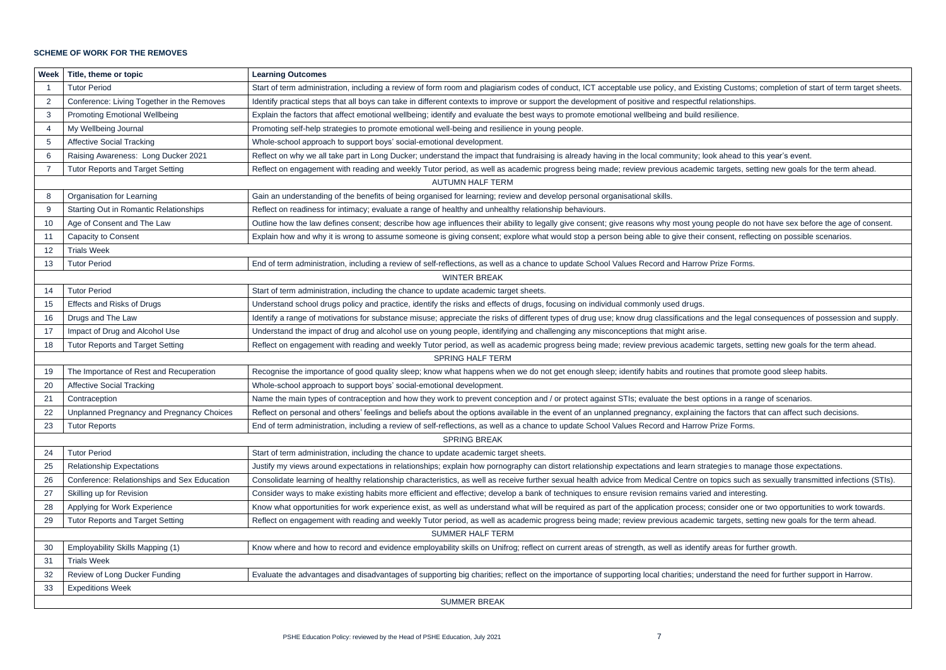### **SCHEME OF WORK FOR THE REMOVES**

| <b>Week</b>                                                                                                                                                                                     | Title, theme or topic                                                                                                                                                                             | <b>Learning Outcomes</b>                                                                                                                               |  |  |  |
|-------------------------------------------------------------------------------------------------------------------------------------------------------------------------------------------------|---------------------------------------------------------------------------------------------------------------------------------------------------------------------------------------------------|--------------------------------------------------------------------------------------------------------------------------------------------------------|--|--|--|
|                                                                                                                                                                                                 | <b>Tutor Period</b>                                                                                                                                                                               | Start of term administration, including a review of form room and plagiarism codes of conduct, ICT acceptable use policy, and Existing Customs; co     |  |  |  |
| 2                                                                                                                                                                                               | Conference: Living Together in the Removes                                                                                                                                                        | Identify practical steps that all boys can take in different contexts to improve or support the development of positive and respectful relationships.  |  |  |  |
| 3                                                                                                                                                                                               | <b>Promoting Emotional Wellbeing</b>                                                                                                                                                              | Explain the factors that affect emotional wellbeing; identify and evaluate the best ways to promote emotional wellbeing and build resilience.          |  |  |  |
| 4                                                                                                                                                                                               | My Wellbeing Journal                                                                                                                                                                              | Promoting self-help strategies to promote emotional well-being and resilience in young people.                                                         |  |  |  |
| 5                                                                                                                                                                                               | <b>Affective Social Tracking</b>                                                                                                                                                                  | Whole-school approach to support boys' social-emotional development.                                                                                   |  |  |  |
| 6                                                                                                                                                                                               | Raising Awareness: Long Ducker 2021                                                                                                                                                               | Reflect on why we all take part in Long Ducker; understand the impact that fundraising is already having in the local community; look ahead to this    |  |  |  |
| $\overline{7}$                                                                                                                                                                                  | <b>Tutor Reports and Target Setting</b>                                                                                                                                                           | Reflect on engagement with reading and weekly Tutor period, as well as academic progress being made; review previous academic targets, setting         |  |  |  |
|                                                                                                                                                                                                 | <b>AUTUMN HALF TERM</b>                                                                                                                                                                           |                                                                                                                                                        |  |  |  |
| 8                                                                                                                                                                                               | Organisation for Learning                                                                                                                                                                         | Gain an understanding of the benefits of being organised for learning; review and develop personal organisational skills.                              |  |  |  |
| 9                                                                                                                                                                                               | <b>Starting Out in Romantic Relationships</b>                                                                                                                                                     | Reflect on readiness for intimacy; evaluate a range of healthy and unhealthy relationship behaviours.                                                  |  |  |  |
| 10                                                                                                                                                                                              | Age of Consent and The Law                                                                                                                                                                        | Outline how the law defines consent; describe how age influences their ability to legally give consent; give reasons why most young people do not      |  |  |  |
| 11                                                                                                                                                                                              | Capacity to Consent                                                                                                                                                                               | Explain how and why it is wrong to assume someone is giving consent; explore what would stop a person being able to give their consent, reflectin      |  |  |  |
| 12                                                                                                                                                                                              | <b>Trials Week</b>                                                                                                                                                                                |                                                                                                                                                        |  |  |  |
| 13                                                                                                                                                                                              | End of term administration, including a review of self-reflections, as well as a chance to update School Values Record and Harrow Prize Forms.<br><b>Tutor Period</b>                             |                                                                                                                                                        |  |  |  |
|                                                                                                                                                                                                 | <b>WINTER BREAK</b>                                                                                                                                                                               |                                                                                                                                                        |  |  |  |
| 14                                                                                                                                                                                              | <b>Tutor Period</b><br>Start of term administration, including the chance to update academic target sheets.                                                                                       |                                                                                                                                                        |  |  |  |
| Effects and Risks of Drugs<br>Understand school drugs policy and practice, identify the risks and effects of drugs, focusing on individual commonly used drugs.<br>15                           |                                                                                                                                                                                                   |                                                                                                                                                        |  |  |  |
| 16                                                                                                                                                                                              | Drugs and The Law                                                                                                                                                                                 | Identify a range of motivations for substance misuse; appreciate the risks of different types of drug use; know drug classifications and the legal con |  |  |  |
| 17                                                                                                                                                                                              | Impact of Drug and Alcohol Use                                                                                                                                                                    | Understand the impact of drug and alcohol use on young people, identifying and challenging any misconceptions that might arise.                        |  |  |  |
| <b>Tutor Reports and Target Setting</b><br>Reflect on engagement with reading and weekly Tutor period, as well as academic progress being made; review previous academic targets, setting<br>18 |                                                                                                                                                                                                   |                                                                                                                                                        |  |  |  |
|                                                                                                                                                                                                 | <b>SPRING HALF TERM</b>                                                                                                                                                                           |                                                                                                                                                        |  |  |  |
| 19                                                                                                                                                                                              | The Importance of Rest and Recuperation                                                                                                                                                           | Recognise the importance of good quality sleep; know what happens when we do not get enough sleep; identify habits and routines that promote g         |  |  |  |
| 20                                                                                                                                                                                              | <b>Affective Social Tracking</b>                                                                                                                                                                  | Whole-school approach to support boys' social-emotional development.                                                                                   |  |  |  |
| 21                                                                                                                                                                                              | Contraception                                                                                                                                                                                     | Name the main types of contraception and how they work to prevent conception and / or protect against STIs; evaluate the best options in a range       |  |  |  |
| 22                                                                                                                                                                                              | Unplanned Pregnancy and Pregnancy Choices<br>Reflect on personal and others' feelings and beliefs about the options available in the event of an unplanned pregnancy, explaining the factors that |                                                                                                                                                        |  |  |  |
| 23                                                                                                                                                                                              | <b>Tutor Reports</b><br>End of term administration, including a review of self-reflections, as well as a chance to update School Values Record and Harrow Prize Forms.                            |                                                                                                                                                        |  |  |  |
|                                                                                                                                                                                                 |                                                                                                                                                                                                   | <b>SPRING BREAK</b>                                                                                                                                    |  |  |  |
| 24                                                                                                                                                                                              | <b>Tutor Period</b>                                                                                                                                                                               | Start of term administration, including the chance to update academic target sheets.                                                                   |  |  |  |
| 25                                                                                                                                                                                              | <b>Relationship Expectations</b>                                                                                                                                                                  | Justify my views around expectations in relationships; explain how pornography can distort relationship expectations and learn strategies to manag     |  |  |  |
| 26                                                                                                                                                                                              | Conference: Relationships and Sex Education                                                                                                                                                       | Consolidate learning of healthy relationship characteristics, as well as receive further sexual health advice from Medical Centre on topics such as s  |  |  |  |
| 27                                                                                                                                                                                              | Skilling up for Revision                                                                                                                                                                          | Consider ways to make existing habits more efficient and effective; develop a bank of techniques to ensure revision remains varied and interesting.    |  |  |  |
| 28                                                                                                                                                                                              | Applying for Work Experience                                                                                                                                                                      | Know what opportunities for work experience exist, as well as understand what will be required as part of the application process; consider one or t   |  |  |  |
| 29                                                                                                                                                                                              | <b>Tutor Reports and Target Setting</b>                                                                                                                                                           | Reflect on engagement with reading and weekly Tutor period, as well as academic progress being made; review previous academic targets, setting         |  |  |  |
|                                                                                                                                                                                                 |                                                                                                                                                                                                   | <b>SUMMER HALF TERM</b>                                                                                                                                |  |  |  |
| 30                                                                                                                                                                                              | Employability Skills Mapping (1)                                                                                                                                                                  | Know where and how to record and evidence employability skills on Unifrog; reflect on current areas of strength, as well as identify areas for furthe  |  |  |  |
| 31                                                                                                                                                                                              | <b>Trials Week</b>                                                                                                                                                                                |                                                                                                                                                        |  |  |  |
| 32                                                                                                                                                                                              | Review of Long Ducker Funding                                                                                                                                                                     | Evaluate the advantages and disadvantages of supporting big charities; reflect on the importance of supporting local charities; understand the need    |  |  |  |
| 33                                                                                                                                                                                              | <b>Expeditions Week</b>                                                                                                                                                                           |                                                                                                                                                        |  |  |  |
|                                                                                                                                                                                                 |                                                                                                                                                                                                   | <b>SUMMER BREAK</b>                                                                                                                                    |  |  |  |

ing Customs; completion of start of term target sheets.

bk ahead to this year's event. targets, setting new goals for the term ahead.

people do not have sex before the age of consent. onsent, reflecting on possible scenarios.

nd the legal consequences of possession and supply.

targets, setting new goals for the term ahead.

that promote good sleep habits.

tions in a range of scenarios.

the factors that can affect such decisions.

tegies to manage those expectations.

topics such as sexually transmitted infections (STIs).

consider one or two opportunities to work towards.

targets, setting new goals for the term ahead.

areas for further growth.

erstand the need for further support in Harrow.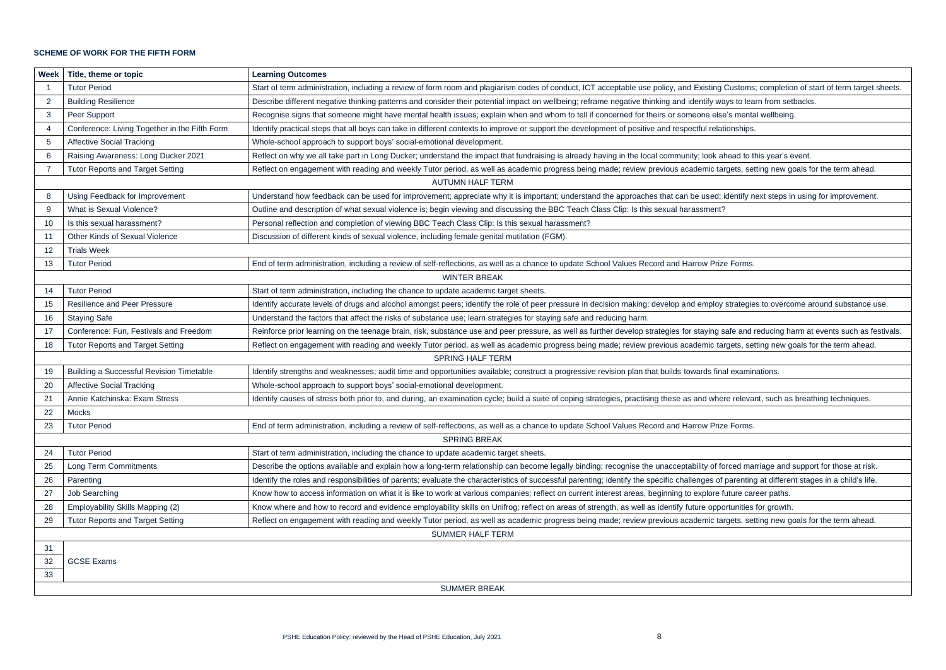### **SCHEME OF WORK FOR THE FIFTH FORM**

| Week                    | Title, theme or topic<br><b>Learning Outcomes</b>                                                                                                                                            |                                                                                                                                                                                                                                |  |  |  |  |
|-------------------------|----------------------------------------------------------------------------------------------------------------------------------------------------------------------------------------------|--------------------------------------------------------------------------------------------------------------------------------------------------------------------------------------------------------------------------------|--|--|--|--|
|                         | <b>Tutor Period</b>                                                                                                                                                                          | Start of term administration, including a review of form room and plagiarism codes of conduct, ICT acceptable use policy, and Existing Customs; comp                                                                           |  |  |  |  |
| $\overline{2}$          | <b>Building Resilience</b>                                                                                                                                                                   | Describe different negative thinking patterns and consider their potential impact on wellbeing; reframe negative thinking and identify ways to learn from                                                                      |  |  |  |  |
| 3                       | Peer Support                                                                                                                                                                                 | Recognise signs that someone might have mental health issues; explain when and whom to tell if concerned for theirs or someone else's mental wellb                                                                             |  |  |  |  |
| $\overline{4}$          | Conference: Living Together in the Fifth Form                                                                                                                                                | Identify practical steps that all boys can take in different contexts to improve or support the development of positive and respectful relationships.                                                                          |  |  |  |  |
| 5                       | <b>Affective Social Tracking</b>                                                                                                                                                             | Whole-school approach to support boys' social-emotional development.                                                                                                                                                           |  |  |  |  |
| 6                       | Raising Awareness: Long Ducker 2021                                                                                                                                                          | Reflect on why we all take part in Long Ducker; understand the impact that fundraising is already having in the local community; look ahead to this yea                                                                        |  |  |  |  |
| 7                       | <b>Tutor Reports and Target Setting</b>                                                                                                                                                      | Reflect on engagement with reading and weekly Tutor period, as well as academic progress being made; review previous academic targets, setting ne                                                                              |  |  |  |  |
|                         |                                                                                                                                                                                              | <b>AUTUMN HALF TERM</b>                                                                                                                                                                                                        |  |  |  |  |
| 8                       | Using Feedback for Improvement<br>Understand how feedback can be used for improvement; appreciate why it is important; understand the approaches that can be used; identify next ste         |                                                                                                                                                                                                                                |  |  |  |  |
| 9                       | What is Sexual Violence?                                                                                                                                                                     | Outline and description of what sexual violence is; begin viewing and discussing the BBC Teach Class Clip: Is this sexual harassment?                                                                                          |  |  |  |  |
| 10                      | Is this sexual harassment?                                                                                                                                                                   | Personal reflection and completion of viewing BBC Teach Class Clip: Is this sexual harassment?                                                                                                                                 |  |  |  |  |
| 11                      | <b>Other Kinds of Sexual Violence</b>                                                                                                                                                        | Discussion of different kinds of sexual violence, including female genital mutilation (FGM).                                                                                                                                   |  |  |  |  |
| 12                      | <b>Trials Week</b>                                                                                                                                                                           |                                                                                                                                                                                                                                |  |  |  |  |
| 13                      | <b>Tutor Period</b>                                                                                                                                                                          | End of term administration, including a review of self-reflections, as well as a chance to update School Values Record and Harrow Prize Forms.                                                                                 |  |  |  |  |
|                         | <b>WINTER BREAK</b>                                                                                                                                                                          |                                                                                                                                                                                                                                |  |  |  |  |
| 14                      | <b>Tutor Period</b>                                                                                                                                                                          | Start of term administration, including the chance to update academic target sheets.                                                                                                                                           |  |  |  |  |
| 15                      | <b>Resilience and Peer Pressure</b>                                                                                                                                                          | Identify accurate levels of drugs and alcohol amongst peers; identify the role of peer pressure in decision making; develop and employ strategies to ov                                                                        |  |  |  |  |
| 16                      | <b>Staying Safe</b><br>Understand the factors that affect the risks of substance use; learn strategies for staying safe and reducing harm.                                                   |                                                                                                                                                                                                                                |  |  |  |  |
| 17                      | Conference: Fun, Festivals and Freedom                                                                                                                                                       | Reinforce prior learning on the teenage brain, risk, substance use and peer pressure, as well as further develop strategies for staying safe and reducir                                                                       |  |  |  |  |
| 18                      | Reflect on engagement with reading and weekly Tutor period, as well as academic progress being made; review previous academic targets, setting ne<br><b>Tutor Reports and Target Setting</b> |                                                                                                                                                                                                                                |  |  |  |  |
| <b>SPRING HALF TERM</b> |                                                                                                                                                                                              |                                                                                                                                                                                                                                |  |  |  |  |
| 19                      | <b>Building a Successful Revision Timetable</b>                                                                                                                                              | Identify strengths and weaknesses; audit time and opportunities available; construct a progressive revision plan that builds towards final examinations.                                                                       |  |  |  |  |
| 20                      | <b>Affective Social Tracking</b>                                                                                                                                                             | Whole-school approach to support boys' social-emotional development.                                                                                                                                                           |  |  |  |  |
| 21                      | Annie Katchinska: Exam Stress                                                                                                                                                                | Identify causes of stress both prior to, and during, an examination cycle; build a suite of coping strategies, practising these as and where relevant, suc                                                                     |  |  |  |  |
| 22                      | Mocks                                                                                                                                                                                        |                                                                                                                                                                                                                                |  |  |  |  |
| 23                      | <b>Tutor Period</b>                                                                                                                                                                          | End of term administration, including a review of self-reflections, as well as a chance to update School Values Record and Harrow Prize Forms.                                                                                 |  |  |  |  |
|                         |                                                                                                                                                                                              | <b>SPRING BREAK</b>                                                                                                                                                                                                            |  |  |  |  |
| 24                      | <b>Tutor Period</b>                                                                                                                                                                          | Start of term administration, including the chance to update academic target sheets.                                                                                                                                           |  |  |  |  |
| 25                      | Long Term Commitments                                                                                                                                                                        | Describe the options available and explain how a long-term relationship can become legally binding; recognise the unacceptability of forced marriage and become legally binding; recognise the unacceptability of forced marri |  |  |  |  |
| 26                      | Parenting                                                                                                                                                                                    | Identify the roles and responsibilities of parents; evaluate the characteristics of successful parenting; identify the specific challenges of parenting at diff                                                                |  |  |  |  |
| 27                      | Job Searching                                                                                                                                                                                | Know how to access information on what it is like to work at various companies; reflect on current interest areas, beginning to explore future career pa                                                                       |  |  |  |  |
| 28                      | Employability Skills Mapping (2)                                                                                                                                                             | Know where and how to record and evidence employability skills on Unifrog; reflect on areas of strength, as well as identify future opportunities for gro                                                                      |  |  |  |  |
| 29                      | <b>Tutor Reports and Target Setting</b>                                                                                                                                                      | Reflect on engagement with reading and weekly Tutor period, as well as academic progress being made; review previous academic targets, setting ne                                                                              |  |  |  |  |
|                         |                                                                                                                                                                                              | <b>SUMMER HALF TERM</b>                                                                                                                                                                                                        |  |  |  |  |
| 31                      |                                                                                                                                                                                              |                                                                                                                                                                                                                                |  |  |  |  |
| 32                      | <b>GCSE Exams</b>                                                                                                                                                                            |                                                                                                                                                                                                                                |  |  |  |  |
| 33                      |                                                                                                                                                                                              |                                                                                                                                                                                                                                |  |  |  |  |
|                         |                                                                                                                                                                                              | <b>SUMMER BREAK</b>                                                                                                                                                                                                            |  |  |  |  |

ing Customs; completion of start of term target sheets. ways to learn from setbacks.

else's mental wellbeing.

bk ahead to this year's event.  $\alpha$  targets, setting new goals for the term ahead.

ed; identify next steps in using for improvement.

bloy strategies to overcome around substance use.

ng safe and reducing harm at events such as festivals. targets, setting new goals for the term ahead.

where relevant, such as breathing techniques.

of forced marriage and support for those at risk.

of parenting at different stages in a child's life.

ore future career paths.

pportunities for growth.

targets, setting new goals for the term ahead.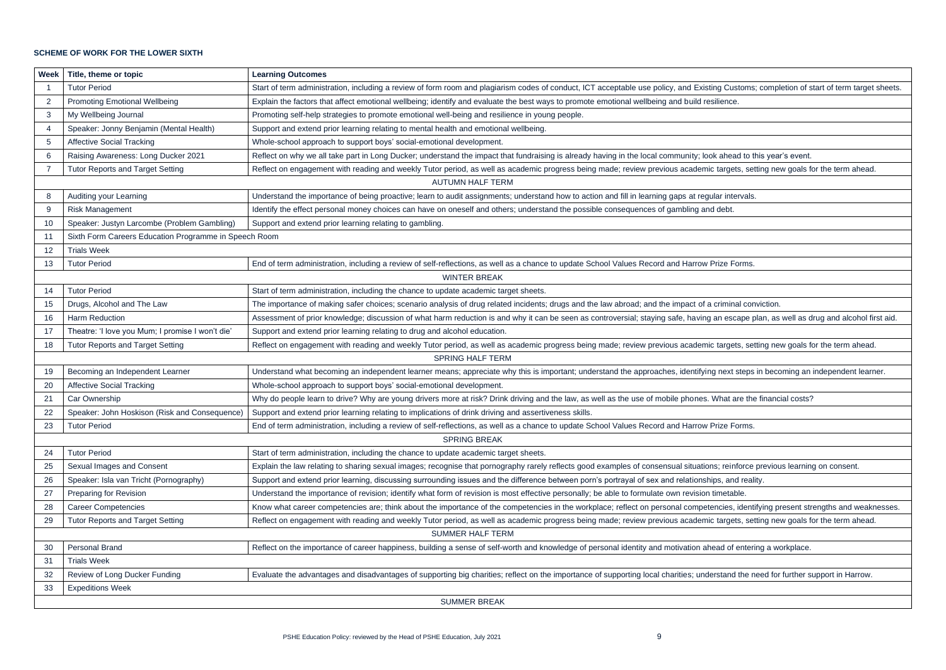# **SCHEME OF WORK FOR THE LOWER SIXTH**

| <b>Week</b>                                                                                                                                                                                        | Title, theme or topic                                                                                                                                                                        | <b>Learning Outcomes</b>                                                                                                                                |  |  |  |
|----------------------------------------------------------------------------------------------------------------------------------------------------------------------------------------------------|----------------------------------------------------------------------------------------------------------------------------------------------------------------------------------------------|---------------------------------------------------------------------------------------------------------------------------------------------------------|--|--|--|
|                                                                                                                                                                                                    | <b>Tutor Period</b>                                                                                                                                                                          | Start of term administration, including a review of form room and plagiarism codes of conduct, ICT acceptable use policy, and Existing Customs; compl   |  |  |  |
| $\overline{2}$                                                                                                                                                                                     | <b>Promoting Emotional Wellbeing</b>                                                                                                                                                         | Explain the factors that affect emotional wellbeing; identify and evaluate the best ways to promote emotional wellbeing and build resilience.           |  |  |  |
| 3                                                                                                                                                                                                  | My Wellbeing Journal                                                                                                                                                                         | Promoting self-help strategies to promote emotional well-being and resilience in young people.                                                          |  |  |  |
| 4                                                                                                                                                                                                  | Speaker: Jonny Benjamin (Mental Health)                                                                                                                                                      | Support and extend prior learning relating to mental health and emotional wellbeing.                                                                    |  |  |  |
| 5                                                                                                                                                                                                  | <b>Affective Social Tracking</b>                                                                                                                                                             | Whole-school approach to support boys' social-emotional development.                                                                                    |  |  |  |
| 6                                                                                                                                                                                                  | Raising Awareness: Long Ducker 2021                                                                                                                                                          | Reflect on why we all take part in Long Ducker; understand the impact that fundraising is already having in the local community; look ahead to this yea |  |  |  |
| $\overline{7}$                                                                                                                                                                                     | <b>Tutor Reports and Target Setting</b><br>Reflect on engagement with reading and weekly Tutor period, as well as academic progress being made; review previous academic targets, setting ne |                                                                                                                                                         |  |  |  |
|                                                                                                                                                                                                    |                                                                                                                                                                                              | <b>AUTUMN HALF TERM</b>                                                                                                                                 |  |  |  |
| 8                                                                                                                                                                                                  | Auditing your Learning                                                                                                                                                                       | Understand the importance of being proactive; learn to audit assignments; understand how to action and fill in learning gaps at regular intervals.      |  |  |  |
| 9                                                                                                                                                                                                  | <b>Risk Management</b>                                                                                                                                                                       | Identify the effect personal money choices can have on oneself and others; understand the possible consequences of gambling and debt.                   |  |  |  |
| 10                                                                                                                                                                                                 | Speaker: Justyn Larcombe (Problem Gambling)                                                                                                                                                  | Support and extend prior learning relating to gambling.                                                                                                 |  |  |  |
| 11                                                                                                                                                                                                 | Sixth Form Careers Education Programme in Speech Room                                                                                                                                        |                                                                                                                                                         |  |  |  |
| 12                                                                                                                                                                                                 | <b>Trials Week</b>                                                                                                                                                                           |                                                                                                                                                         |  |  |  |
| 13                                                                                                                                                                                                 | <b>Tutor Period</b>                                                                                                                                                                          | End of term administration, including a review of self-reflections, as well as a chance to update School Values Record and Harrow Prize Forms.          |  |  |  |
|                                                                                                                                                                                                    | <b>WINTER BREAK</b>                                                                                                                                                                          |                                                                                                                                                         |  |  |  |
| 14                                                                                                                                                                                                 | <b>Tutor Period</b>                                                                                                                                                                          | Start of term administration, including the chance to update academic target sheets.                                                                    |  |  |  |
| 15                                                                                                                                                                                                 | Drugs, Alcohol and The Law<br>The importance of making safer choices; scenario analysis of drug related incidents; drugs and the law abroad; and the impact of a criminal conviction.        |                                                                                                                                                         |  |  |  |
| 16                                                                                                                                                                                                 | <b>Harm Reduction</b><br>Assessment of prior knowledge; discussion of what harm reduction is and why it can be seen as controversial; staying safe, having an escape plan, as                |                                                                                                                                                         |  |  |  |
| 17                                                                                                                                                                                                 | Theatre: 'I love you Mum; I promise I won't die'                                                                                                                                             | Support and extend prior learning relating to drug and alcohol education.                                                                               |  |  |  |
| <b>Tutor Reports and Target Setting</b><br>Reflect on engagement with reading and weekly Tutor period, as well as academic progress being made; review previous academic targets, setting ne<br>18 |                                                                                                                                                                                              |                                                                                                                                                         |  |  |  |
|                                                                                                                                                                                                    |                                                                                                                                                                                              | <b>SPRING HALF TERM</b>                                                                                                                                 |  |  |  |
| 19                                                                                                                                                                                                 | Becoming an Independent Learner                                                                                                                                                              | Understand what becoming an independent learner means; appreciate why this is important; understand the approaches, identifying next steps in becomed   |  |  |  |
| 20                                                                                                                                                                                                 | <b>Affective Social Tracking</b>                                                                                                                                                             | Whole-school approach to support boys' social-emotional development.                                                                                    |  |  |  |
| 21                                                                                                                                                                                                 | Car Ownership                                                                                                                                                                                | Why do people learn to drive? Why are young drivers more at risk? Drink driving and the law, as well as the use of mobile phones. What are the financ   |  |  |  |
| 22                                                                                                                                                                                                 | Speaker: John Hoskison (Risk and Consequence)<br>Support and extend prior learning relating to implications of drink driving and assertiveness skills.                                       |                                                                                                                                                         |  |  |  |
| 23                                                                                                                                                                                                 | End of term administration, including a review of self-reflections, as well as a chance to update School Values Record and Harrow Prize Forms.<br><b>Tutor Period</b>                        |                                                                                                                                                         |  |  |  |
|                                                                                                                                                                                                    |                                                                                                                                                                                              | <b>SPRING BREAK</b>                                                                                                                                     |  |  |  |
| 24                                                                                                                                                                                                 | <b>Tutor Period</b>                                                                                                                                                                          | Start of term administration, including the chance to update academic target sheets.                                                                    |  |  |  |
| 25                                                                                                                                                                                                 | Sexual Images and Consent                                                                                                                                                                    | Explain the law relating to sharing sexual images; recognise that pornography rarely reflects good examples of consensual situations; reinforce previou |  |  |  |
| 26                                                                                                                                                                                                 | Speaker: Isla van Tricht (Pornography)                                                                                                                                                       | Support and extend prior learning, discussing surrounding issues and the difference between porn's portrayal of sex and relationships, and reality.     |  |  |  |
| 27                                                                                                                                                                                                 | <b>Preparing for Revision</b>                                                                                                                                                                | Understand the importance of revision; identify what form of revision is most effective personally; be able to formulate own revision timetable.        |  |  |  |
| 28                                                                                                                                                                                                 | <b>Career Competencies</b>                                                                                                                                                                   | Know what career competencies are; think about the importance of the competencies in the workplace; reflect on personal competencies, identifying p     |  |  |  |
| 29                                                                                                                                                                                                 | <b>Tutor Reports and Target Setting</b>                                                                                                                                                      | Reflect on engagement with reading and weekly Tutor period, as well as academic progress being made; review previous academic targets, setting ne       |  |  |  |
|                                                                                                                                                                                                    | <b>SUMMER HALF TERM</b>                                                                                                                                                                      |                                                                                                                                                         |  |  |  |
| 30                                                                                                                                                                                                 | <b>Personal Brand</b>                                                                                                                                                                        | Reflect on the importance of career happiness, building a sense of self-worth and knowledge of personal identity and motivation ahead of entering a w   |  |  |  |
| 31                                                                                                                                                                                                 | <b>Trials Week</b>                                                                                                                                                                           |                                                                                                                                                         |  |  |  |
| 32                                                                                                                                                                                                 | Review of Long Ducker Funding                                                                                                                                                                | Evaluate the advantages and disadvantages of supporting big charities; reflect on the importance of supporting local charities; understand the need for |  |  |  |
| 33                                                                                                                                                                                                 | <b>Expeditions Week</b>                                                                                                                                                                      |                                                                                                                                                         |  |  |  |
|                                                                                                                                                                                                    |                                                                                                                                                                                              | <b>SUMMER BREAK</b>                                                                                                                                     |  |  |  |

ing Customs; completion of start of term target sheets.

bk ahead to this year's event. targets, setting new goals for the term ahead.

an escape plan, as well as drug and alcohol first aid.

targets, setting new goals for the term ahead.

19 next steps in becoming an independent learner.

What are the financial costs?

ns; reinforce previous learning on consent.

encies, identifying present strengths and weaknesses. targets, setting new goals for the term ahead.

ead of entering a workplace.

erstand the need for further support in Harrow.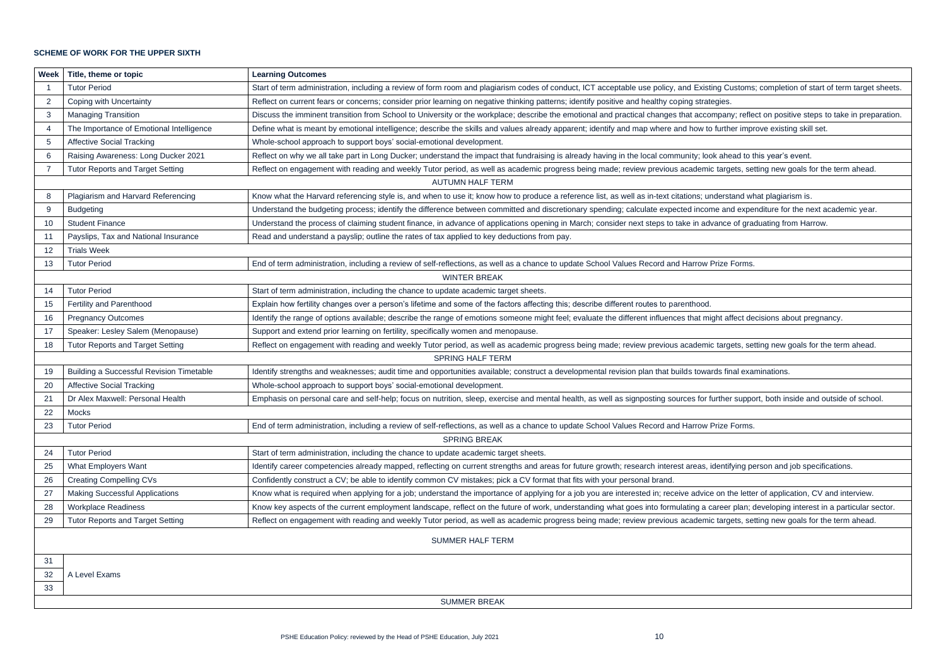### **SCHEME OF WORK FOR THE UPPER SIXTH**

| Week                                                                                                                                                                      | Title, theme or topic                                                                                                                                                                                         | <b>Learning Outcomes</b>                                                                                                                                     |  |  |  |
|---------------------------------------------------------------------------------------------------------------------------------------------------------------------------|---------------------------------------------------------------------------------------------------------------------------------------------------------------------------------------------------------------|--------------------------------------------------------------------------------------------------------------------------------------------------------------|--|--|--|
|                                                                                                                                                                           | <b>Tutor Period</b>                                                                                                                                                                                           | Start of term administration, including a review of form room and plagiarism codes of conduct, ICT acceptable use policy, and Existing Customs; completi     |  |  |  |
| $\overline{2}$                                                                                                                                                            | Coping with Uncertainty                                                                                                                                                                                       | Reflect on current fears or concerns; consider prior learning on negative thinking patterns; identify positive and healthy coping strategies.                |  |  |  |
| 3                                                                                                                                                                         | <b>Managing Transition</b>                                                                                                                                                                                    | Discuss the imminent transition from School to University or the workplace; describe the emotional and practical changes that accompany; reflect on posi     |  |  |  |
| $\overline{4}$                                                                                                                                                            | The Importance of Emotional Intelligence                                                                                                                                                                      | Define what is meant by emotional intelligence; describe the skills and values already apparent; identify and map where and how to further improve existi    |  |  |  |
| 5                                                                                                                                                                         | <b>Affective Social Tracking</b>                                                                                                                                                                              | Whole-school approach to support boys' social-emotional development.                                                                                         |  |  |  |
| 6                                                                                                                                                                         | Raising Awareness: Long Ducker 2021                                                                                                                                                                           | Reflect on why we all take part in Long Ducker; understand the impact that fundraising is already having in the local community; look ahead to this year's   |  |  |  |
| 7                                                                                                                                                                         | <b>Tutor Reports and Target Setting</b>                                                                                                                                                                       | Reflect on engagement with reading and weekly Tutor period, as well as academic progress being made; review previous academic targets, setting new           |  |  |  |
|                                                                                                                                                                           | <b>AUTUMN HALF TERM</b>                                                                                                                                                                                       |                                                                                                                                                              |  |  |  |
| 8                                                                                                                                                                         | Plagiarism and Harvard Referencing                                                                                                                                                                            | Know what the Harvard referencing style is, and when to use it; know how to produce a reference list, as well as in-text citations; understand what plagiar  |  |  |  |
| 9                                                                                                                                                                         | <b>Budgeting</b>                                                                                                                                                                                              | Understand the budgeting process; identify the difference between committed and discretionary spending; calculate expected income and expenditure for        |  |  |  |
| 10                                                                                                                                                                        | <b>Student Finance</b>                                                                                                                                                                                        | Understand the process of claiming student finance, in advance of applications opening in March; consider next steps to take in advance of graduating fro    |  |  |  |
| 11                                                                                                                                                                        | Payslips, Tax and National Insurance                                                                                                                                                                          | Read and understand a payslip; outline the rates of tax applied to key deductions from pay.                                                                  |  |  |  |
| 12                                                                                                                                                                        | <b>Trials Week</b>                                                                                                                                                                                            |                                                                                                                                                              |  |  |  |
| 13                                                                                                                                                                        | <b>Tutor Period</b>                                                                                                                                                                                           | End of term administration, including a review of self-reflections, as well as a chance to update School Values Record and Harrow Prize Forms.               |  |  |  |
|                                                                                                                                                                           |                                                                                                                                                                                                               | <b>WINTER BREAK</b>                                                                                                                                          |  |  |  |
| 14                                                                                                                                                                        | <b>Tutor Period</b>                                                                                                                                                                                           | Start of term administration, including the chance to update academic target sheets.                                                                         |  |  |  |
| Fertility and Parenthood<br>Explain how fertility changes over a person's lifetime and some of the factors affecting this; describe different routes to parenthood.<br>15 |                                                                                                                                                                                                               |                                                                                                                                                              |  |  |  |
| 16                                                                                                                                                                        | Identify the range of options available; describe the range of emotions someone might feel; evaluate the different influences that might affect decisions ab<br><b>Pregnancy Outcomes</b>                     |                                                                                                                                                              |  |  |  |
| 17                                                                                                                                                                        | Speaker: Lesley Salem (Menopause)<br>Support and extend prior learning on fertility, specifically women and menopause.                                                                                        |                                                                                                                                                              |  |  |  |
| 18                                                                                                                                                                        | <b>Tutor Reports and Target Setting</b><br>Reflect on engagement with reading and weekly Tutor period, as well as academic progress being made; review previous academic targets, setting new                 |                                                                                                                                                              |  |  |  |
|                                                                                                                                                                           | <b>SPRING HALF TERM</b>                                                                                                                                                                                       |                                                                                                                                                              |  |  |  |
| 19                                                                                                                                                                        | <b>Building a Successful Revision Timetable</b><br>Identify strengths and weaknesses; audit time and opportunities available; construct a developmental revision plan that builds towards final examinations. |                                                                                                                                                              |  |  |  |
| 20                                                                                                                                                                        | <b>Affective Social Tracking</b>                                                                                                                                                                              | Whole-school approach to support boys' social-emotional development.                                                                                         |  |  |  |
| 21                                                                                                                                                                        | Dr Alex Maxwell: Personal Health<br>Emphasis on personal care and self-help; focus on nutrition, sleep, exercise and mental health, as well as signposting sources for further support, both in               |                                                                                                                                                              |  |  |  |
| 22                                                                                                                                                                        | Mocks                                                                                                                                                                                                         |                                                                                                                                                              |  |  |  |
| 23                                                                                                                                                                        | End of term administration, including a review of self-reflections, as well as a chance to update School Values Record and Harrow Prize Forms.<br><b>Tutor Period</b>                                         |                                                                                                                                                              |  |  |  |
|                                                                                                                                                                           |                                                                                                                                                                                                               | <b>SPRING BREAK</b>                                                                                                                                          |  |  |  |
| 24                                                                                                                                                                        | <b>Tutor Period</b>                                                                                                                                                                                           | Start of term administration, including the chance to update academic target sheets.                                                                         |  |  |  |
| 25                                                                                                                                                                        | What Employers Want                                                                                                                                                                                           | Identify career competencies already mapped, reflecting on current strengths and areas for future growth; research interest areas, identifying person and    |  |  |  |
| 26                                                                                                                                                                        | <b>Creating Compelling CVs</b>                                                                                                                                                                                | Confidently construct a CV; be able to identify common CV mistakes; pick a CV format that fits with your personal brand.                                     |  |  |  |
| 27                                                                                                                                                                        | <b>Making Successful Applications</b>                                                                                                                                                                         | Know what is required when applying for a job; understand the importance of applying for a job you are interested in; receive advice on the letter of applic |  |  |  |
| 28                                                                                                                                                                        | <b>Workplace Readiness</b>                                                                                                                                                                                    | Know key aspects of the current employment landscape, reflect on the future of work, understanding what goes into formulating a career plan; developing      |  |  |  |
| 29                                                                                                                                                                        | <b>Tutor Reports and Target Setting</b>                                                                                                                                                                       | Reflect on engagement with reading and weekly Tutor period, as well as academic progress being made; review previous academic targets, setting new           |  |  |  |
|                                                                                                                                                                           |                                                                                                                                                                                                               | <b>SUMMER HALF TERM</b>                                                                                                                                      |  |  |  |
| 31                                                                                                                                                                        |                                                                                                                                                                                                               |                                                                                                                                                              |  |  |  |
| 32                                                                                                                                                                        | A Level Exams                                                                                                                                                                                                 |                                                                                                                                                              |  |  |  |
| 33                                                                                                                                                                        |                                                                                                                                                                                                               |                                                                                                                                                              |  |  |  |
|                                                                                                                                                                           | <b>SUMMER BREAK</b>                                                                                                                                                                                           |                                                                                                                                                              |  |  |  |

ing Customs; completion of start of term target sheets.

mpany; reflect on positive steps to take in preparation. further improve existing skill set.

bk ahead to this year's event. targets, setting new goals for the term ahead.

nderstand what plagiarism is.

ne and expenditure for the next academic year.

vance of graduating from Harrow.

ight affect decisions about pregnancy.

targets, setting new goals for the term ahead.

iurther support, both inside and outside of school.

identifying person and job specifications.

on the letter of application, CV and interview. zareer plan; developing interest in a particular sector. targets, setting new goals for the term ahead.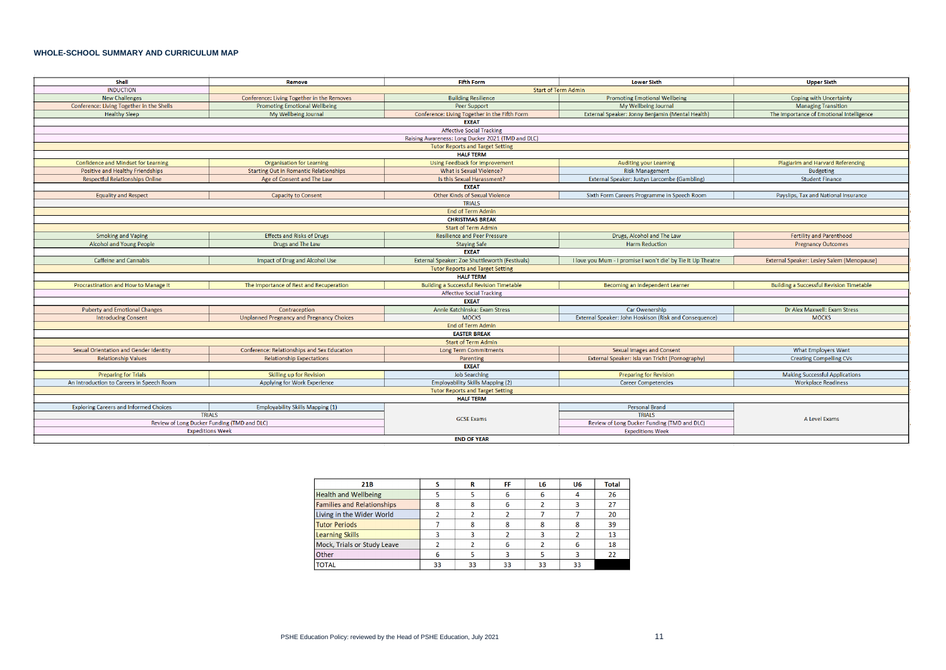# **WHOLE-SCHOOL SUMMARY AND CURRICULUM MAP**

| Shell                                                                             | Remove                                        | <b>Fifth Form</b>                                 | <b>Lower Sixth</b>                                                     | <b>Upper Sixth</b>                              |  |  |
|-----------------------------------------------------------------------------------|-----------------------------------------------|---------------------------------------------------|------------------------------------------------------------------------|-------------------------------------------------|--|--|
| <b>INDUCTION</b>                                                                  |                                               | <b>Start of Term Admin</b>                        |                                                                        |                                                 |  |  |
| <b>New Challenges</b>                                                             | Conference: Living Together in the Removes    | <b>Building Resilience</b>                        | <b>Promoting Emotional Wellbeing</b>                                   | Coping with Uncertainty                         |  |  |
| Conference: Living Together in the Shells<br><b>Promoting Emotional Wellbeing</b> |                                               | Peer Support                                      | My Wellbeing Journal                                                   | <b>Managing Transition</b>                      |  |  |
| <b>Healthy Sleep</b>                                                              | My Wellbeing Journal                          | Conference: Living Together in the Fifth Form     | External Speaker: Jonny Benjamin (Mental Health)                       | The Importance of Emotional Intelligence        |  |  |
|                                                                                   |                                               | <b>EXEAT</b>                                      |                                                                        |                                                 |  |  |
|                                                                                   |                                               | <b>Affective Social Tracking</b>                  |                                                                        |                                                 |  |  |
|                                                                                   |                                               | Raising Awareness: Long Ducker 2021 (TMD and DLC) |                                                                        |                                                 |  |  |
|                                                                                   |                                               | <b>Tutor Reports and Target Setting</b>           |                                                                        |                                                 |  |  |
|                                                                                   |                                               | <b>HALF TERM</b>                                  |                                                                        |                                                 |  |  |
| Confidence and Mindset for Learning                                               | <b>Organisation for Learning</b>              | <b>Using Feedback for Improvement</b>             | <b>Auditing your Learning</b>                                          | Plagiarim and Harvard Referencing               |  |  |
| Positive and Healthy Friendships                                                  | <b>Starting Out in Romantic Relationships</b> | What is Sexual Violence?                          | <b>Risk Management</b>                                                 | Budgeting                                       |  |  |
| <b>Respectful Relationships Online</b>                                            | Age of Consent and The Law                    | Is this Sexual Harassment?                        | External Speaker: Justyn Larcombe (Gambling)                           | <b>Student Finance</b>                          |  |  |
|                                                                                   |                                               | <b>EXEAT</b>                                      |                                                                        |                                                 |  |  |
| <b>Equality and Respect</b>                                                       | <b>Capacity to Consent</b>                    | <b>Other Kinds of Sexual Violence</b>             | Sixth Form Careers Programme in Speech Room                            | Payslips, Tax and National Insurance            |  |  |
|                                                                                   |                                               | <b>TRIALS</b>                                     |                                                                        |                                                 |  |  |
|                                                                                   |                                               | <b>End of Term Admin</b>                          |                                                                        |                                                 |  |  |
|                                                                                   |                                               | <b>CHRISTMAS BREAK</b>                            |                                                                        |                                                 |  |  |
|                                                                                   |                                               | <b>Start of Term Admin</b>                        |                                                                        |                                                 |  |  |
| <b>Smoking and Vaping</b>                                                         | <b>Effects and Risks of Drugs</b>             | <b>Resilience and Peer Pressure</b>               | Drugs, Alcohol and The Law                                             | <b>Fertility and Parenthood</b>                 |  |  |
| Alcohol and Young People<br>Drugs and The Law                                     |                                               | <b>Staying Safe</b>                               | <b>Harm Reduction</b>                                                  | <b>Pregnancy Outcomes</b>                       |  |  |
| <b>EXEAT</b>                                                                      |                                               |                                                   |                                                                        |                                                 |  |  |
| <b>Caffeine and Cannabis</b>                                                      | Impact of Drug and Alcohol Use                | External Speaker: Zoe Shuttleworth (Festivals)    | I love you Mum - I promise I won't die' by Tie It Up Theatre           | External Speaker: Lesley Salem (Menopause)      |  |  |
|                                                                                   |                                               | <b>Tutor Reports and Target Setting</b>           |                                                                        |                                                 |  |  |
| <b>HALF TERM</b>                                                                  |                                               |                                                   |                                                                        |                                                 |  |  |
| Procrastination and How to Manage It                                              | The Importance of Rest and Recuperation       | <b>Building a Successful Revision Timetable</b>   | Becoming an Independent Learner                                        | <b>Building a Successful Revision Timetable</b> |  |  |
|                                                                                   |                                               | <b>Affective Social Tracking</b>                  |                                                                        |                                                 |  |  |
|                                                                                   |                                               | <b>EXEAT</b>                                      |                                                                        |                                                 |  |  |
| <b>Puberty and Emotional Changes</b>                                              | Contraception                                 | Annie Katchinska: Exam Stress                     | Car Owenership                                                         | Dr Alex Maxwell: Exam Stress                    |  |  |
| <b>Introducing Consent</b>                                                        | Unplanned Pregnancy and Pregnancy Choices     | <b>MOCKS</b>                                      | External Speaker: John Hoskison (Risk and Consequence)<br><b>MOCKS</b> |                                                 |  |  |
| End of Term Admin                                                                 |                                               |                                                   |                                                                        |                                                 |  |  |
|                                                                                   |                                               | <b>EASTER BREAK</b>                               |                                                                        |                                                 |  |  |
|                                                                                   |                                               | <b>Start of Term Admin</b>                        |                                                                        |                                                 |  |  |
| Sexual Orientation and Gender Identity                                            | Conference: Relationships and Sex Education   | <b>Long Term Commitments</b>                      | <b>Sexual Images and Consent</b>                                       | <b>What Employers Want</b>                      |  |  |
| <b>Relationship Values</b>                                                        | <b>Relationship Expectations</b>              | Parenting                                         | External Speaker: Isla van Tricht (Pornography)                        | <b>Creating Compelling CVs</b>                  |  |  |
|                                                                                   |                                               | <b>EXEAT</b>                                      |                                                                        |                                                 |  |  |
| <b>Preparing for Trials</b>                                                       | Skilling up for Revision                      | <b>Job Searching</b>                              | <b>Preparing for Revision</b>                                          | <b>Making Successful Applications</b>           |  |  |
| An Introduction to Careers in Speech Room<br>Applying for Work Experience         |                                               | <b>Employability Skills Mapping (2)</b>           | <b>Career Competencies</b>                                             | <b>Workplace Readiness</b>                      |  |  |
|                                                                                   |                                               | <b>Tutor Reports and Target Setting</b>           |                                                                        |                                                 |  |  |
|                                                                                   |                                               | <b>HALF TERM</b>                                  |                                                                        |                                                 |  |  |
| <b>Exploring Careers and Informed Choices</b>                                     | <b>Employability Skills Mapping (1)</b>       |                                                   | <b>Personal Brand</b>                                                  | A Level Exams                                   |  |  |
|                                                                                   | <b>TRIALS</b>                                 | <b>GCSE Exams</b>                                 | <b>TRIALS</b>                                                          |                                                 |  |  |
| Review of Long Ducker Funding (TMD and DLC)                                       |                                               |                                                   | Review of Long Ducker Funding (TMD and DLC)                            |                                                 |  |  |
|                                                                                   | <b>Expeditions Week</b>                       |                                                   | <b>Expeditions Week</b>                                                |                                                 |  |  |
|                                                                                   |                                               | <b>END OF YEAR</b>                                |                                                                        |                                                 |  |  |

| 21B                               |    | R  | FF | L6 | U <sub>6</sub> | <b>Total</b> |
|-----------------------------------|----|----|----|----|----------------|--------------|
| <b>Health and Wellbeing</b>       |    |    | 6  | 6  |                | 26           |
| <b>Families and Relationships</b> |    |    |    |    |                | 27           |
| Living in the Wider World         |    |    |    |    |                | 20           |
| <b>Tutor Periods</b>              |    |    |    |    |                | 39           |
| <b>Learning Skills</b>            |    |    |    |    |                | 13           |
| Mock, Trials or Study Leave       |    |    | 6  |    |                | 18           |
| <b>Other</b>                      |    |    |    |    |                | 22           |
| <b>TOTAL</b>                      | 33 | 33 | 33 | 33 | 33             |              |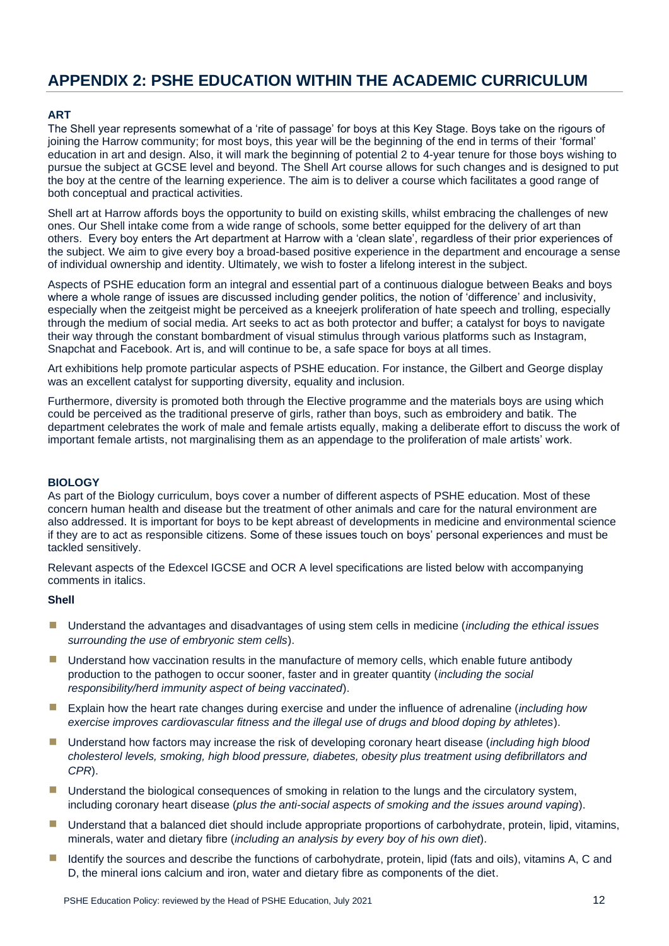# **APPENDIX 2: PSHE EDUCATION WITHIN THE ACADEMIC CURRICULUM**

# **ART**

The Shell year represents somewhat of a 'rite of passage' for boys at this Key Stage. Boys take on the rigours of joining the Harrow community; for most boys, this year will be the beginning of the end in terms of their 'formal' education in art and design. Also, it will mark the beginning of potential 2 to 4-year tenure for those boys wishing to pursue the subject at GCSE level and beyond. The Shell Art course allows for such changes and is designed to put the boy at the centre of the learning experience. The aim is to deliver a course which facilitates a good range of both conceptual and practical activities.

Shell art at Harrow affords boys the opportunity to build on existing skills, whilst embracing the challenges of new ones. Our Shell intake come from a wide range of schools, some better equipped for the delivery of art than others. Every boy enters the Art department at Harrow with a 'clean slate', regardless of their prior experiences of the subject. We aim to give every boy a broad-based positive experience in the department and encourage a sense of individual ownership and identity. Ultimately, we wish to foster a lifelong interest in the subject.

Aspects of PSHE education form an integral and essential part of a continuous dialogue between Beaks and boys where a whole range of issues are discussed including gender politics, the notion of 'difference' and inclusivity, especially when the zeitgeist might be perceived as a kneejerk proliferation of hate speech and trolling, especially through the medium of social media. Art seeks to act as both protector and buffer; a catalyst for boys to navigate their way through the constant bombardment of visual stimulus through various platforms such as Instagram, Snapchat and Facebook. Art is, and will continue to be, a safe space for boys at all times.

Art exhibitions help promote particular aspects of PSHE education. For instance, the Gilbert and George display was an excellent catalyst for supporting diversity, equality and inclusion.

Furthermore, diversity is promoted both through the Elective programme and the materials boys are using which could be perceived as the traditional preserve of girls, rather than boys, such as embroidery and batik. The department celebrates the work of male and female artists equally, making a deliberate effort to discuss the work of important female artists, not marginalising them as an appendage to the proliferation of male artists' work.

#### **BIOLOGY**

As part of the Biology curriculum, boys cover a number of different aspects of PSHE education. Most of these concern human health and disease but the treatment of other animals and care for the natural environment are also addressed. It is important for boys to be kept abreast of developments in medicine and environmental science if they are to act as responsible citizens. Some of these issues touch on boys' personal experiences and must be tackled sensitively.

Relevant aspects of the Edexcel IGCSE and OCR A level specifications are listed below with accompanying comments in italics.

# **Shell**

- Understand the advantages and disadvantages of using stem cells in medicine (*including the ethical issues surrounding the use of embryonic stem cells*).
- **■** Understand how vaccination results in the manufacture of memory cells, which enable future antibody production to the pathogen to occur sooner, faster and in greater quantity (*including the social responsibility/herd immunity aspect of being vaccinated*).
- Explain how the heart rate changes during exercise and under the influence of adrenaline (*including how exercise improves cardiovascular fitness and the illegal use of drugs and blood doping by athletes*).
- Understand how factors may increase the risk of developing coronary heart disease (*including high blood cholesterol levels, smoking, high blood pressure, diabetes, obesity plus treatment using defibrillators and CPR*).
- **■** Understand the biological consequences of smoking in relation to the lungs and the circulatory system, including coronary heart disease (*plus the anti-social aspects of smoking and the issues around vaping*).
- Understand that a balanced diet should include appropriate proportions of carbohydrate, protein, lipid, vitamins, minerals, water and dietary fibre (*including an analysis by every boy of his own diet*).
- **E** Identify the sources and describe the functions of carbohydrate, protein, lipid (fats and oils), vitamins A, C and D, the mineral ions calcium and iron, water and dietary fibre as components of the diet.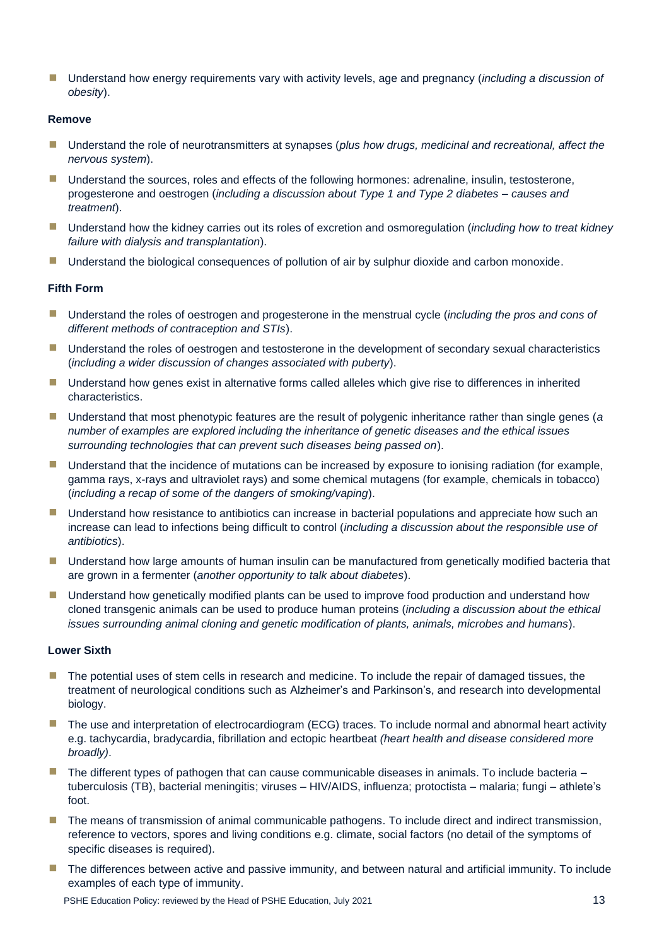■ Understand how energy requirements vary with activity levels, age and pregnancy (*including a discussion of obesity*).

#### **Remove**

- Understand the role of neurotransmitters at synapses (*plus how drugs, medicinal and recreational, affect the nervous system*).
- **■** Understand the sources, roles and effects of the following hormones: adrenaline, insulin, testosterone, progesterone and oestrogen (*including a discussion about Type 1 and Type 2 diabetes – causes and treatment*).
- Understand how the kidney carries out its roles of excretion and osmoregulation (*including how to treat kidney failure with dialysis and transplantation*).
- **■** Understand the biological consequences of pollution of air by sulphur dioxide and carbon monoxide.

## **Fifth Form**

- Understand the roles of oestrogen and progesterone in the menstrual cycle *(including the pros and cons of different methods of contraception and STIs*).
- **■** Understand the roles of oestrogen and testosterone in the development of secondary sexual characteristics (*including a wider discussion of changes associated with puberty*).
- Understand how genes exist in alternative forms called alleles which give rise to differences in inherited characteristics.
- Understand that most phenotypic features are the result of polygenic inheritance rather than single genes (*a number of examples are explored including the inheritance of genetic diseases and the ethical issues surrounding technologies that can prevent such diseases being passed on*).
- **■** Understand that the incidence of mutations can be increased by exposure to ionising radiation (for example, gamma rays, x-rays and ultraviolet rays) and some chemical mutagens (for example, chemicals in tobacco) (*including a recap of some of the dangers of smoking/vaping*).
- **■** Understand how resistance to antibiotics can increase in bacterial populations and appreciate how such an increase can lead to infections being difficult to control (*including a discussion about the responsible use of antibiotics*).
- **■** Understand how large amounts of human insulin can be manufactured from genetically modified bacteria that are grown in a fermenter (*another opportunity to talk about diabetes*).
- Understand how genetically modified plants can be used to improve food production and understand how cloned transgenic animals can be used to produce human proteins (*including a discussion about the ethical issues surrounding animal cloning and genetic modification of plants, animals, microbes and humans*).

#### **Lower Sixth**

- The potential uses of stem cells in research and medicine. To include the repair of damaged tissues, the treatment of neurological conditions such as Alzheimer's and Parkinson's, and research into developmental biology.
- The use and interpretation of electrocardiogram (ECG) traces. To include normal and abnormal heart activity e.g. tachycardia, bradycardia, fibrillation and ectopic heartbeat *(heart health and disease considered more broadly)*.
- $\blacksquare$  The different types of pathogen that can cause communicable diseases in animals. To include bacteria  $$ tuberculosis (TB), bacterial meningitis; viruses – HIV/AIDS, influenza; protoctista – malaria; fungi – athlete's foot.
- The means of transmission of animal communicable pathogens. To include direct and indirect transmission, reference to vectors, spores and living conditions e.g. climate, social factors (no detail of the symptoms of specific diseases is required).
- The differences between active and passive immunity, and between natural and artificial immunity. To include examples of each type of immunity.

PSHE Education Policy: reviewed by the Head of PSHE Education, July 2021 13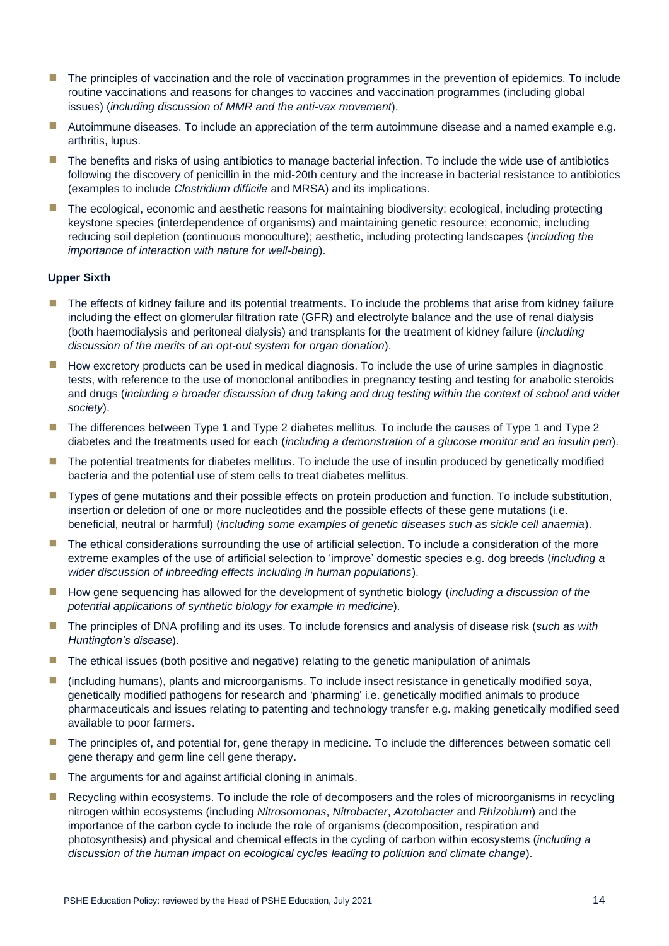- The principles of vaccination and the role of vaccination programmes in the prevention of epidemics. To include routine vaccinations and reasons for changes to vaccines and vaccination programmes (including global issues) (*including discussion of MMR and the anti-vax movement*).
- **E** Autoimmune diseases. To include an appreciation of the term autoimmune disease and a named example e.g. arthritis, lupus.
- The benefits and risks of using antibiotics to manage bacterial infection. To include the wide use of antibiotics following the discovery of penicillin in the mid-20th century and the increase in bacterial resistance to antibiotics (examples to include *Clostridium difficile* and MRSA) and its implications.
- **The ecological, economic and aesthetic reasons for maintaining biodiversity: ecological, including protecting** keystone species (interdependence of organisms) and maintaining genetic resource; economic, including reducing soil depletion (continuous monoculture); aesthetic, including protecting landscapes (*including the importance of interaction with nature for well-being*).

## **Upper Sixth**

- The effects of kidney failure and its potential treatments. To include the problems that arise from kidney failure including the effect on glomerular filtration rate (GFR) and electrolyte balance and the use of renal dialysis (both haemodialysis and peritoneal dialysis) and transplants for the treatment of kidney failure (*including discussion of the merits of an opt-out system for organ donation*).
- How excretory products can be used in medical diagnosis. To include the use of urine samples in diagnostic tests, with reference to the use of monoclonal antibodies in pregnancy testing and testing for anabolic steroids and drugs (*including a broader discussion of drug taking and drug testing within the context of school and wider society*).
- The differences between Type 1 and Type 2 diabetes mellitus. To include the causes of Type 1 and Type 2 diabetes and the treatments used for each (*including a demonstration of a glucose monitor and an insulin pen*).
- The potential treatments for diabetes mellitus. To include the use of insulin produced by genetically modified bacteria and the potential use of stem cells to treat diabetes mellitus.
- **T** Types of gene mutations and their possible effects on protein production and function. To include substitution, insertion or deletion of one or more nucleotides and the possible effects of these gene mutations (i.e. beneficial, neutral or harmful) (*including some examples of genetic diseases such as sickle cell anaemia*).
- The ethical considerations surrounding the use of artificial selection. To include a consideration of the more extreme examples of the use of artificial selection to 'improve' domestic species e.g. dog breeds (*including a wider discussion of inbreeding effects including in human populations*).
- How gene sequencing has allowed for the development of synthetic biology (*including a discussion of the potential applications of synthetic biology for example in medicine*).
- The principles of DNA profiling and its uses. To include forensics and analysis of disease risk (*such as with Huntington's disease*).
- The ethical issues (both positive and negative) relating to the genetic manipulation of animals
- (including humans), plants and microorganisms. To include insect resistance in genetically modified soya, genetically modified pathogens for research and 'pharming' i.e. genetically modified animals to produce pharmaceuticals and issues relating to patenting and technology transfer e.g. making genetically modified seed available to poor farmers.
- The principles of, and potential for, gene therapy in medicine. To include the differences between somatic cell gene therapy and germ line cell gene therapy.
- $\blacksquare$  The arguments for and against artificial cloning in animals.
- Recycling within ecosystems. To include the role of decomposers and the roles of microorganisms in recycling nitrogen within ecosystems (including *Nitrosomonas*, *Nitrobacter*, *Azotobacter* and *Rhizobium*) and the importance of the carbon cycle to include the role of organisms (decomposition, respiration and photosynthesis) and physical and chemical effects in the cycling of carbon within ecosystems (*including a discussion of the human impact on ecological cycles leading to pollution and climate change*).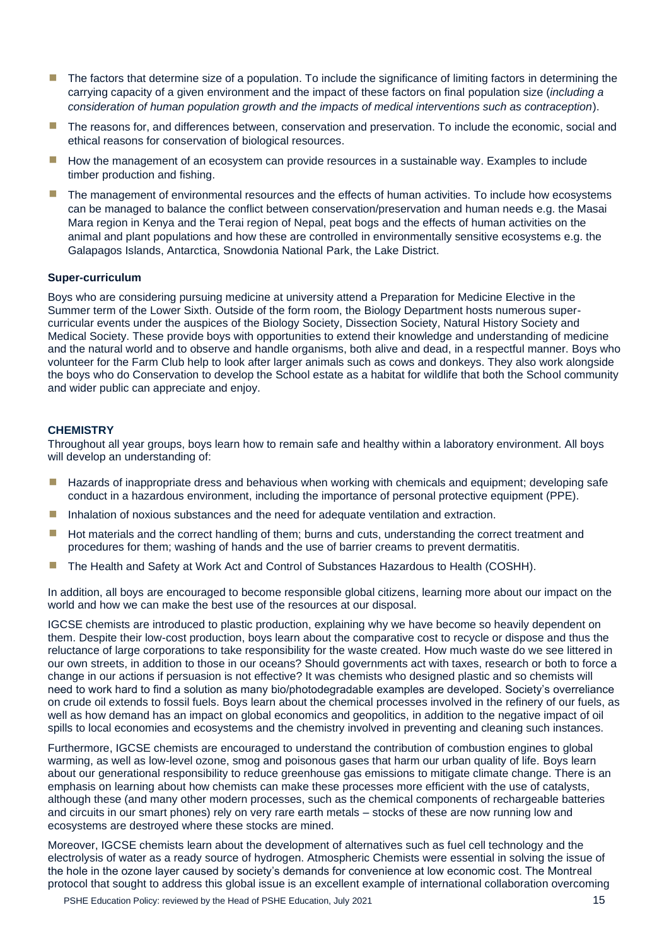- The factors that determine size of a population. To include the significance of limiting factors in determining the carrying capacity of a given environment and the impact of these factors on final population size (*including a consideration of human population growth and the impacts of medical interventions such as contraception*).
- The reasons for, and differences between, conservation and preservation. To include the economic, social and ethical reasons for conservation of biological resources.
- **E** How the management of an ecosystem can provide resources in a sustainable way. Examples to include timber production and fishing.
- The management of environmental resources and the effects of human activities. To include how ecosystems can be managed to balance the conflict between conservation/preservation and human needs e.g. the Masai Mara region in Kenya and the Terai region of Nepal, peat bogs and the effects of human activities on the animal and plant populations and how these are controlled in environmentally sensitive ecosystems e.g. the Galapagos Islands, Antarctica, Snowdonia National Park, the Lake District.

#### **Super-curriculum**

Boys who are considering pursuing medicine at university attend a Preparation for Medicine Elective in the Summer term of the Lower Sixth. Outside of the form room, the Biology Department hosts numerous supercurricular events under the auspices of the Biology Society, Dissection Society, Natural History Society and Medical Society. These provide boys with opportunities to extend their knowledge and understanding of medicine and the natural world and to observe and handle organisms, both alive and dead, in a respectful manner. Boys who volunteer for the Farm Club help to look after larger animals such as cows and donkeys. They also work alongside the boys who do Conservation to develop the School estate as a habitat for wildlife that both the School community and wider public can appreciate and enjoy.

#### **CHEMISTRY**

Throughout all year groups, boys learn how to remain safe and healthy within a laboratory environment. All boys will develop an understanding of:

- Hazards of inappropriate dress and behavious when working with chemicals and equipment; developing safe conduct in a hazardous environment, including the importance of personal protective equipment (PPE).
- **Inhalation of noxious substances and the need for adequate ventilation and extraction.**
- Hot materials and the correct handling of them; burns and cuts, understanding the correct treatment and procedures for them; washing of hands and the use of barrier creams to prevent dermatitis.
- The Health and Safety at Work Act and Control of Substances Hazardous to Health (COSHH).

In addition, all boys are encouraged to become responsible global citizens, learning more about our impact on the world and how we can make the best use of the resources at our disposal.

IGCSE chemists are introduced to plastic production, explaining why we have become so heavily dependent on them. Despite their low-cost production, boys learn about the comparative cost to recycle or dispose and thus the reluctance of large corporations to take responsibility for the waste created. How much waste do we see littered in our own streets, in addition to those in our oceans? Should governments act with taxes, research or both to force a change in our actions if persuasion is not effective? It was chemists who designed plastic and so chemists will need to work hard to find a solution as many bio/photodegradable examples are developed. Society's overreliance on crude oil extends to fossil fuels. Boys learn about the chemical processes involved in the refinery of our fuels, as well as how demand has an impact on global economics and geopolitics, in addition to the negative impact of oil spills to local economies and ecosystems and the chemistry involved in preventing and cleaning such instances.

Furthermore, IGCSE chemists are encouraged to understand the contribution of combustion engines to global warming, as well as low-level ozone, smog and poisonous gases that harm our urban quality of life. Boys learn about our generational responsibility to reduce greenhouse gas emissions to mitigate climate change. There is an emphasis on learning about how chemists can make these processes more efficient with the use of catalysts, although these (and many other modern processes, such as the chemical components of rechargeable batteries and circuits in our smart phones) rely on very rare earth metals – stocks of these are now running low and ecosystems are destroyed where these stocks are mined.

Moreover, IGCSE chemists learn about the development of alternatives such as fuel cell technology and the electrolysis of water as a ready source of hydrogen. Atmospheric Chemists were essential in solving the issue of the hole in the ozone layer caused by society's demands for convenience at low economic cost. The Montreal protocol that sought to address this global issue is an excellent example of international collaboration overcoming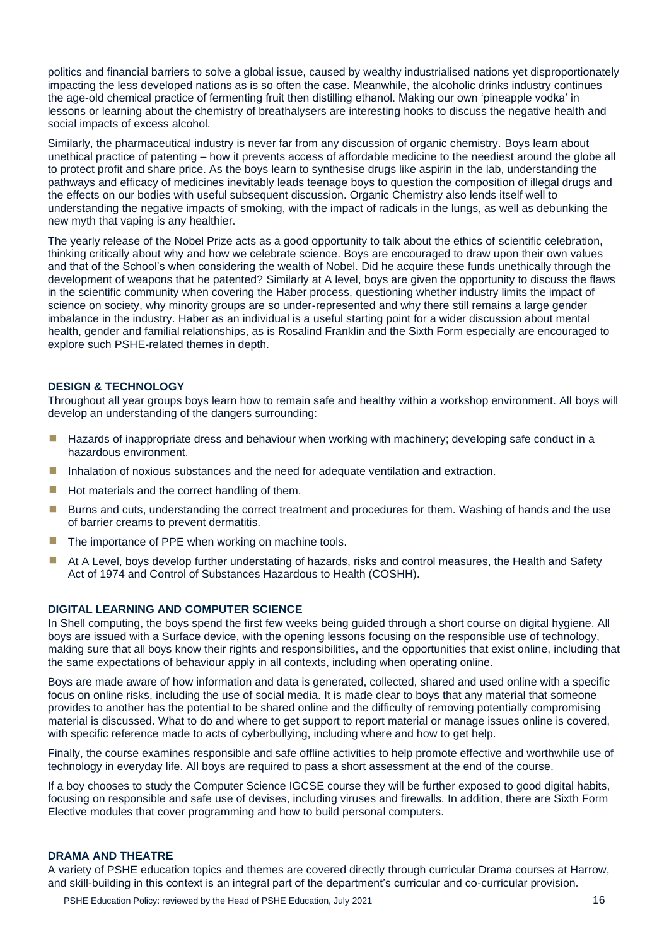politics and financial barriers to solve a global issue, caused by wealthy industrialised nations yet disproportionately impacting the less developed nations as is so often the case. Meanwhile, the alcoholic drinks industry continues the age-old chemical practice of fermenting fruit then distilling ethanol. Making our own 'pineapple vodka' in lessons or learning about the chemistry of breathalysers are interesting hooks to discuss the negative health and social impacts of excess alcohol.

Similarly, the pharmaceutical industry is never far from any discussion of organic chemistry. Boys learn about unethical practice of patenting – how it prevents access of affordable medicine to the neediest around the globe all to protect profit and share price. As the boys learn to synthesise drugs like aspirin in the lab, understanding the pathways and efficacy of medicines inevitably leads teenage boys to question the composition of illegal drugs and the effects on our bodies with useful subsequent discussion. Organic Chemistry also lends itself well to understanding the negative impacts of smoking, with the impact of radicals in the lungs, as well as debunking the new myth that vaping is any healthier.

The yearly release of the Nobel Prize acts as a good opportunity to talk about the ethics of scientific celebration, thinking critically about why and how we celebrate science. Boys are encouraged to draw upon their own values and that of the School's when considering the wealth of Nobel. Did he acquire these funds unethically through the development of weapons that he patented? Similarly at A level, boys are given the opportunity to discuss the flaws in the scientific community when covering the Haber process, questioning whether industry limits the impact of science on society, why minority groups are so under-represented and why there still remains a large gender imbalance in the industry. Haber as an individual is a useful starting point for a wider discussion about mental health, gender and familial relationships, as is Rosalind Franklin and the Sixth Form especially are encouraged to explore such PSHE-related themes in depth.

#### **DESIGN & TECHNOLOGY**

Throughout all year groups boys learn how to remain safe and healthy within a workshop environment. All boys will develop an understanding of the dangers surrounding:

- Hazards of inappropriate dress and behaviour when working with machinery; developing safe conduct in a hazardous environment.
- **Inhalation of noxious substances and the need for adequate ventilation and extraction.**
- $\blacksquare$  Hot materials and the correct handling of them.
- **E** Burns and cuts, understanding the correct treatment and procedures for them. Washing of hands and the use of barrier creams to prevent dermatitis.
- The importance of PPE when working on machine tools.
- At A Level, boys develop further understating of hazards, risks and control measures, the Health and Safety Act of 1974 and Control of Substances Hazardous to Health (COSHH).

# **DIGITAL LEARNING AND COMPUTER SCIENCE**

In Shell computing, the boys spend the first few weeks being guided through a short course on digital hygiene. All boys are issued with a Surface device, with the opening lessons focusing on the responsible use of technology, making sure that all boys know their rights and responsibilities, and the opportunities that exist online, including that the same expectations of behaviour apply in all contexts, including when operating online.

Boys are made aware of how information and data is generated, collected, shared and used online with a specific focus on online risks, including the use of social media. It is made clear to boys that any material that someone provides to another has the potential to be shared online and the difficulty of removing potentially compromising material is discussed. What to do and where to get support to report material or manage issues online is covered, with specific reference made to acts of cyberbullying, including where and how to get help.

Finally, the course examines responsible and safe offline activities to help promote effective and worthwhile use of technology in everyday life. All boys are required to pass a short assessment at the end of the course.

If a boy chooses to study the Computer Science IGCSE course they will be further exposed to good digital habits, focusing on responsible and safe use of devises, including viruses and firewalls. In addition, there are Sixth Form Elective modules that cover programming and how to build personal computers.

### **DRAMA AND THEATRE**

A variety of PSHE education topics and themes are covered directly through curricular Drama courses at Harrow, and skill-building in this context is an integral part of the department's curricular and co-curricular provision.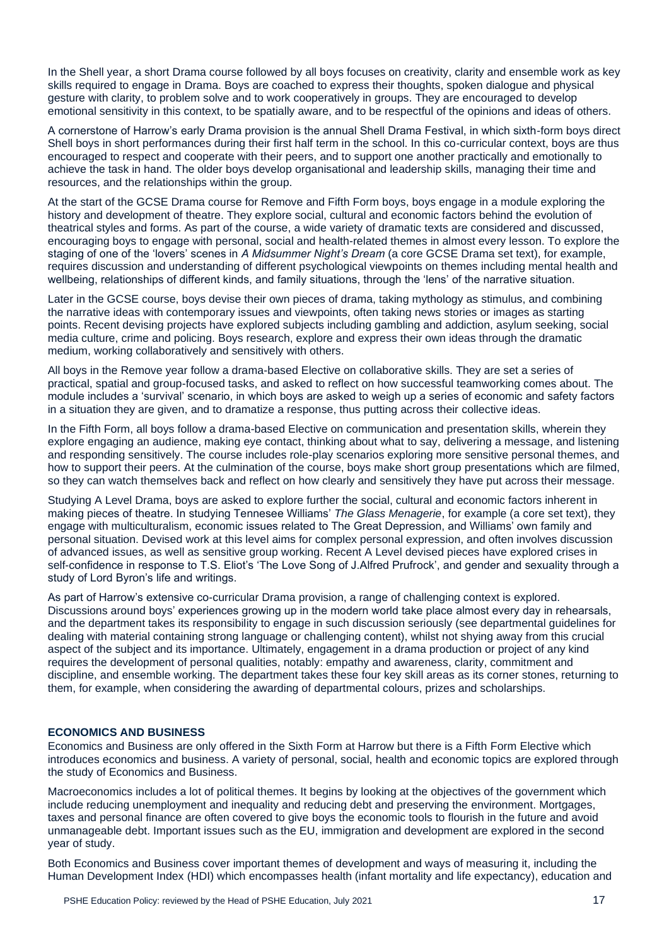In the Shell year, a short Drama course followed by all boys focuses on creativity, clarity and ensemble work as key skills required to engage in Drama. Boys are coached to express their thoughts, spoken dialogue and physical gesture with clarity, to problem solve and to work cooperatively in groups. They are encouraged to develop emotional sensitivity in this context, to be spatially aware, and to be respectful of the opinions and ideas of others.

A cornerstone of Harrow's early Drama provision is the annual Shell Drama Festival, in which sixth-form boys direct Shell boys in short performances during their first half term in the school. In this co-curricular context, boys are thus encouraged to respect and cooperate with their peers, and to support one another practically and emotionally to achieve the task in hand. The older boys develop organisational and leadership skills, managing their time and resources, and the relationships within the group.

At the start of the GCSE Drama course for Remove and Fifth Form boys, boys engage in a module exploring the history and development of theatre. They explore social, cultural and economic factors behind the evolution of theatrical styles and forms. As part of the course, a wide variety of dramatic texts are considered and discussed, encouraging boys to engage with personal, social and health-related themes in almost every lesson. To explore the staging of one of the 'lovers' scenes in *A Midsummer Night's Dream* (a core GCSE Drama set text), for example, requires discussion and understanding of different psychological viewpoints on themes including mental health and wellbeing, relationships of different kinds, and family situations, through the 'lens' of the narrative situation.

Later in the GCSE course, boys devise their own pieces of drama, taking mythology as stimulus, and combining the narrative ideas with contemporary issues and viewpoints, often taking news stories or images as starting points. Recent devising projects have explored subjects including gambling and addiction, asylum seeking, social media culture, crime and policing. Boys research, explore and express their own ideas through the dramatic medium, working collaboratively and sensitively with others.

All boys in the Remove year follow a drama-based Elective on collaborative skills. They are set a series of practical, spatial and group-focused tasks, and asked to reflect on how successful teamworking comes about. The module includes a 'survival' scenario, in which boys are asked to weigh up a series of economic and safety factors in a situation they are given, and to dramatize a response, thus putting across their collective ideas.

In the Fifth Form, all boys follow a drama-based Elective on communication and presentation skills, wherein they explore engaging an audience, making eye contact, thinking about what to say, delivering a message, and listening and responding sensitively. The course includes role-play scenarios exploring more sensitive personal themes, and how to support their peers. At the culmination of the course, boys make short group presentations which are filmed, so they can watch themselves back and reflect on how clearly and sensitively they have put across their message.

Studying A Level Drama, boys are asked to explore further the social, cultural and economic factors inherent in making pieces of theatre. In studying Tennesee Williams' *The Glass Menagerie*, for example (a core set text), they engage with multiculturalism, economic issues related to The Great Depression, and Williams' own family and personal situation. Devised work at this level aims for complex personal expression, and often involves discussion of advanced issues, as well as sensitive group working. Recent A Level devised pieces have explored crises in self-confidence in response to T.S. Eliot's 'The Love Song of J.Alfred Prufrock', and gender and sexuality through a study of Lord Byron's life and writings.

As part of Harrow's extensive co-curricular Drama provision, a range of challenging context is explored. Discussions around boys' experiences growing up in the modern world take place almost every day in rehearsals, and the department takes its responsibility to engage in such discussion seriously (see departmental guidelines for dealing with material containing strong language or challenging content), whilst not shying away from this crucial aspect of the subject and its importance. Ultimately, engagement in a drama production or project of any kind requires the development of personal qualities, notably: empathy and awareness, clarity, commitment and discipline, and ensemble working. The department takes these four key skill areas as its corner stones, returning to them, for example, when considering the awarding of departmental colours, prizes and scholarships.

# **ECONOMICS AND BUSINESS**

Economics and Business are only offered in the Sixth Form at Harrow but there is a Fifth Form Elective which introduces economics and business. A variety of personal, social, health and economic topics are explored through the study of Economics and Business.

Macroeconomics includes a lot of political themes. It begins by looking at the objectives of the government which include reducing unemployment and inequality and reducing debt and preserving the environment. Mortgages, taxes and personal finance are often covered to give boys the economic tools to flourish in the future and avoid unmanageable debt. Important issues such as the EU, immigration and development are explored in the second year of study.

Both Economics and Business cover important themes of development and ways of measuring it, including the Human Development Index (HDI) which encompasses health (infant mortality and life expectancy), education and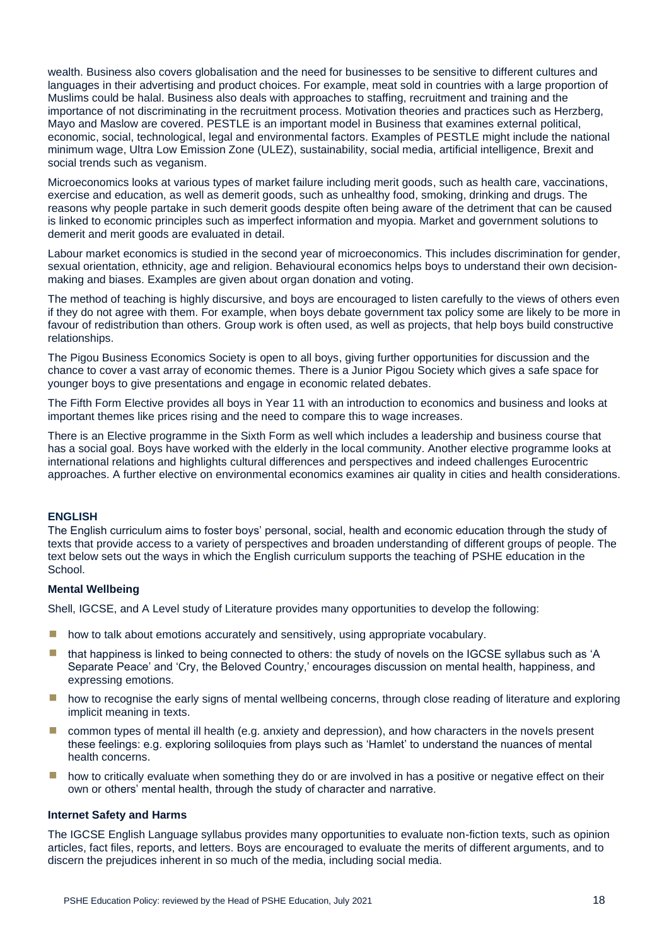wealth. Business also covers globalisation and the need for businesses to be sensitive to different cultures and languages in their advertising and product choices. For example, meat sold in countries with a large proportion of Muslims could be halal. Business also deals with approaches to staffing, recruitment and training and the importance of not discriminating in the recruitment process. Motivation theories and practices such as Herzberg, Mayo and Maslow are covered. PESTLE is an important model in Business that examines external political, economic, social, technological, legal and environmental factors. Examples of PESTLE might include the national minimum wage, Ultra Low Emission Zone (ULEZ), sustainability, social media, artificial intelligence, Brexit and social trends such as veganism.

Microeconomics looks at various types of market failure including merit goods, such as health care, vaccinations, exercise and education, as well as demerit goods, such as unhealthy food, smoking, drinking and drugs. The reasons why people partake in such demerit goods despite often being aware of the detriment that can be caused is linked to economic principles such as imperfect information and myopia. Market and government solutions to demerit and merit goods are evaluated in detail.

Labour market economics is studied in the second year of microeconomics. This includes discrimination for gender, sexual orientation, ethnicity, age and religion. Behavioural economics helps boys to understand their own decisionmaking and biases. Examples are given about organ donation and voting.

The method of teaching is highly discursive, and boys are encouraged to listen carefully to the views of others even if they do not agree with them. For example, when boys debate government tax policy some are likely to be more in favour of redistribution than others. Group work is often used, as well as projects, that help boys build constructive relationships.

The Pigou Business Economics Society is open to all boys, giving further opportunities for discussion and the chance to cover a vast array of economic themes. There is a Junior Pigou Society which gives a safe space for younger boys to give presentations and engage in economic related debates.

The Fifth Form Elective provides all boys in Year 11 with an introduction to economics and business and looks at important themes like prices rising and the need to compare this to wage increases.

There is an Elective programme in the Sixth Form as well which includes a leadership and business course that has a social goal. Boys have worked with the elderly in the local community. Another elective programme looks at international relations and highlights cultural differences and perspectives and indeed challenges Eurocentric approaches. A further elective on environmental economics examines air quality in cities and health considerations.

# **ENGLISH**

The English curriculum aims to foster boys' personal, social, health and economic education through the study of texts that provide access to a variety of perspectives and broaden understanding of different groups of people. The text below sets out the ways in which the English curriculum supports the teaching of PSHE education in the School.

#### **Mental Wellbeing**

Shell, IGCSE, and A Level study of Literature provides many opportunities to develop the following:

- $\blacksquare$  how to talk about emotions accurately and sensitively, using appropriate vocabulary.
- that happiness is linked to being connected to others: the study of novels on the IGCSE syllabus such as 'A Separate Peace' and 'Cry, the Beloved Country,' encourages discussion on mental health, happiness, and expressing emotions.
- how to recognise the early signs of mental wellbeing concerns, through close reading of literature and exploring implicit meaning in texts.
- **E** common types of mental ill health (e.g. anxiety and depression), and how characters in the novels present these feelings: e.g. exploring soliloquies from plays such as 'Hamlet' to understand the nuances of mental health concerns.
- how to critically evaluate when something they do or are involved in has a positive or negative effect on their own or others' mental health, through the study of character and narrative.

#### **Internet Safety and Harms**

The IGCSE English Language syllabus provides many opportunities to evaluate non-fiction texts, such as opinion articles, fact files, reports, and letters. Boys are encouraged to evaluate the merits of different arguments, and to discern the prejudices inherent in so much of the media, including social media.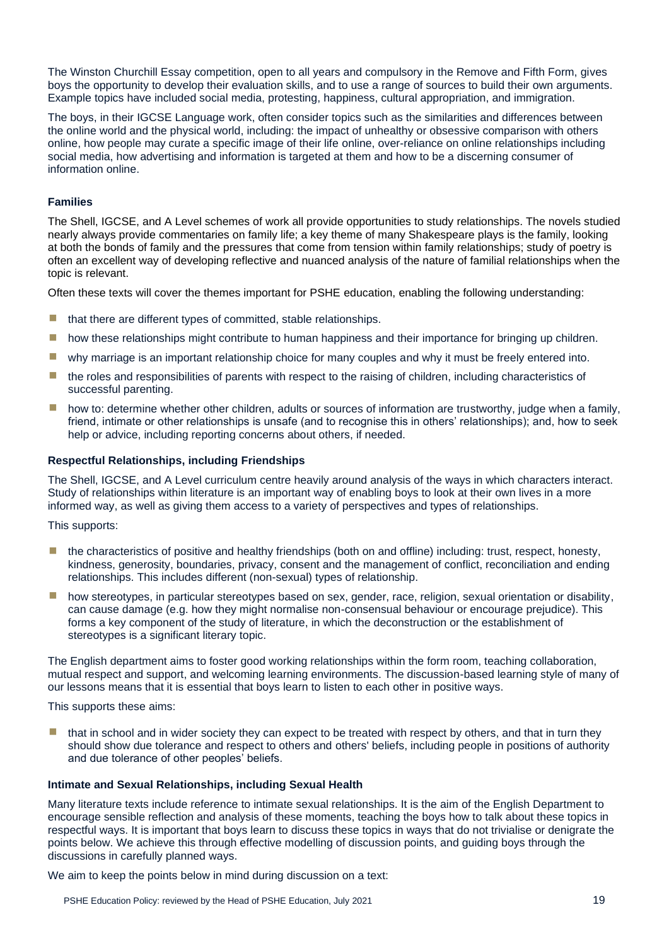The Winston Churchill Essay competition, open to all years and compulsory in the Remove and Fifth Form, gives boys the opportunity to develop their evaluation skills, and to use a range of sources to build their own arguments. Example topics have included social media, protesting, happiness, cultural appropriation, and immigration.

The boys, in their IGCSE Language work, often consider topics such as the similarities and differences between the online world and the physical world, including: the impact of unhealthy or obsessive comparison with others online, how people may curate a specific image of their life online, over-reliance on online relationships including social media, how advertising and information is targeted at them and how to be a discerning consumer of information online.

# **Families**

The Shell, IGCSE, and A Level schemes of work all provide opportunities to study relationships. The novels studied nearly always provide commentaries on family life; a key theme of many Shakespeare plays is the family, looking at both the bonds of family and the pressures that come from tension within family relationships; study of poetry is often an excellent way of developing reflective and nuanced analysis of the nature of familial relationships when the topic is relevant.

Often these texts will cover the themes important for PSHE education, enabling the following understanding:

- $\blacksquare$  that there are different types of committed, stable relationships.
- how these relationships might contribute to human happiness and their importance for bringing up children.
- **I** why marriage is an important relationship choice for many couples and why it must be freely entered into.
- the roles and responsibilities of parents with respect to the raising of children, including characteristics of successful parenting.
- how to: determine whether other children, adults or sources of information are trustworthy, judge when a family, friend, intimate or other relationships is unsafe (and to recognise this in others' relationships); and, how to seek help or advice, including reporting concerns about others, if needed.

### **Respectful Relationships, including Friendships**

The Shell, IGCSE, and A Level curriculum centre heavily around analysis of the ways in which characters interact. Study of relationships within literature is an important way of enabling boys to look at their own lives in a more informed way, as well as giving them access to a variety of perspectives and types of relationships.

This supports:

- $\blacksquare$  the characteristics of positive and healthy friendships (both on and offline) including: trust, respect, honesty, kindness, generosity, boundaries, privacy, consent and the management of conflict, reconciliation and ending relationships. This includes different (non-sexual) types of relationship.
- **I** how stereotypes, in particular stereotypes based on sex, gender, race, religion, sexual orientation or disability, can cause damage (e.g. how they might normalise non-consensual behaviour or encourage prejudice). This forms a key component of the study of literature, in which the deconstruction or the establishment of stereotypes is a significant literary topic.

The English department aims to foster good working relationships within the form room, teaching collaboration, mutual respect and support, and welcoming learning environments. The discussion-based learning style of many of our lessons means that it is essential that boys learn to listen to each other in positive ways.

This supports these aims:

■ that in school and in wider society they can expect to be treated with respect by others, and that in turn they should show due tolerance and respect to others and others' beliefs, including people in positions of authority and due tolerance of other peoples' beliefs.

#### **Intimate and Sexual Relationships, including Sexual Health**

Many literature texts include reference to intimate sexual relationships. It is the aim of the English Department to encourage sensible reflection and analysis of these moments, teaching the boys how to talk about these topics in respectful ways. It is important that boys learn to discuss these topics in ways that do not trivialise or denigrate the points below. We achieve this through effective modelling of discussion points, and guiding boys through the discussions in carefully planned ways.

We aim to keep the points below in mind during discussion on a text: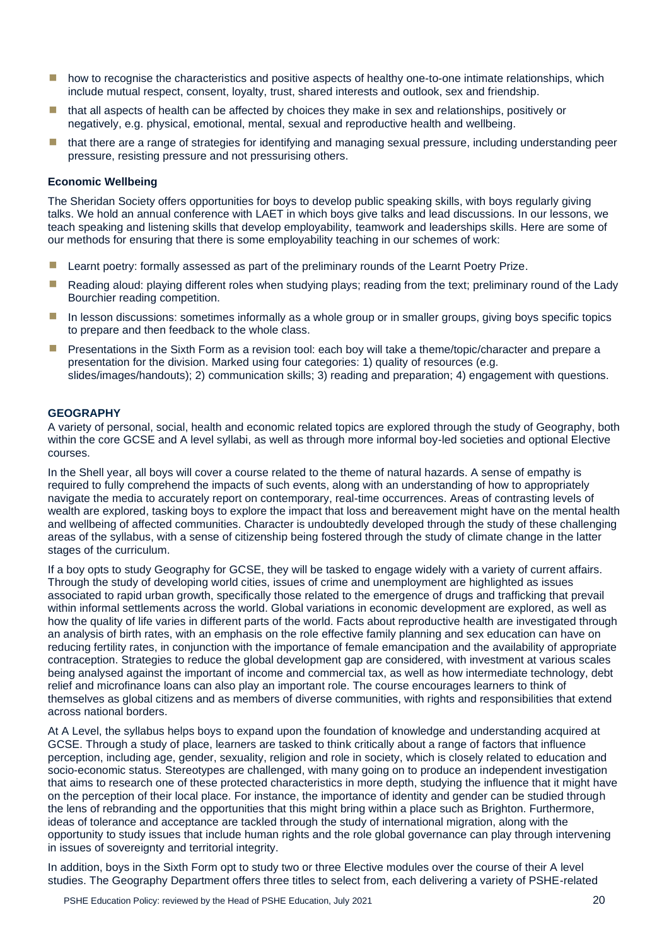- how to recognise the characteristics and positive aspects of healthy one-to-one intimate relationships, which include mutual respect, consent, loyalty, trust, shared interests and outlook, sex and friendship.
- $\blacksquare$  that all aspects of health can be affected by choices they make in sex and relationships, positively or negatively, e.g. physical, emotional, mental, sexual and reproductive health and wellbeing.
- that there are a range of strategies for identifying and managing sexual pressure, including understanding peer pressure, resisting pressure and not pressurising others.

#### **Economic Wellbeing**

The Sheridan Society offers opportunities for boys to develop public speaking skills, with boys regularly giving talks. We hold an annual conference with LAET in which boys give talks and lead discussions. In our lessons, we teach speaking and listening skills that develop employability, teamwork and leaderships skills. Here are some of our methods for ensuring that there is some employability teaching in our schemes of work:

- $\blacksquare$  Learnt poetry: formally assessed as part of the preliminary rounds of the Learnt Poetry Prize.
- Reading aloud: playing different roles when studying plays; reading from the text; preliminary round of the Lady Bourchier reading competition.
- **In lesson discussions: sometimes informally as a whole group or in smaller groups, giving boys specific topics** to prepare and then feedback to the whole class.
- **E** Presentations in the Sixth Form as a revision tool: each boy will take a theme/topic/character and prepare a presentation for the division. Marked using four categories: 1) quality of resources (e.g. slides/images/handouts); 2) communication skills; 3) reading and preparation; 4) engagement with questions.

#### **GEOGRAPHY**

A variety of personal, social, health and economic related topics are explored through the study of Geography, both within the core GCSE and A level syllabi, as well as through more informal boy-led societies and optional Elective courses.

In the Shell year, all boys will cover a course related to the theme of natural hazards. A sense of empathy is required to fully comprehend the impacts of such events, along with an understanding of how to appropriately navigate the media to accurately report on contemporary, real-time occurrences. Areas of contrasting levels of wealth are explored, tasking boys to explore the impact that loss and bereavement might have on the mental health and wellbeing of affected communities. Character is undoubtedly developed through the study of these challenging areas of the syllabus, with a sense of citizenship being fostered through the study of climate change in the latter stages of the curriculum.

If a boy opts to study Geography for GCSE, they will be tasked to engage widely with a variety of current affairs. Through the study of developing world cities, issues of crime and unemployment are highlighted as issues associated to rapid urban growth, specifically those related to the emergence of drugs and trafficking that prevail within informal settlements across the world. Global variations in economic development are explored, as well as how the quality of life varies in different parts of the world. Facts about reproductive health are investigated through an analysis of birth rates, with an emphasis on the role effective family planning and sex education can have on reducing fertility rates, in conjunction with the importance of female emancipation and the availability of appropriate contraception. Strategies to reduce the global development gap are considered, with investment at various scales being analysed against the important of income and commercial tax, as well as how intermediate technology, debt relief and microfinance loans can also play an important role. The course encourages learners to think of themselves as global citizens and as members of diverse communities, with rights and responsibilities that extend across national borders.

At A Level, the syllabus helps boys to expand upon the foundation of knowledge and understanding acquired at GCSE. Through a study of place, learners are tasked to think critically about a range of factors that influence perception, including age, gender, sexuality, religion and role in society, which is closely related to education and socio-economic status. Stereotypes are challenged, with many going on to produce an independent investigation that aims to research one of these protected characteristics in more depth, studying the influence that it might have on the perception of their local place. For instance, the importance of identity and gender can be studied through the lens of rebranding and the opportunities that this might bring within a place such as Brighton. Furthermore, ideas of tolerance and acceptance are tackled through the study of international migration, along with the opportunity to study issues that include human rights and the role global governance can play through intervening in issues of sovereignty and territorial integrity.

In addition, boys in the Sixth Form opt to study two or three Elective modules over the course of their A level studies. The Geography Department offers three titles to select from, each delivering a variety of PSHE-related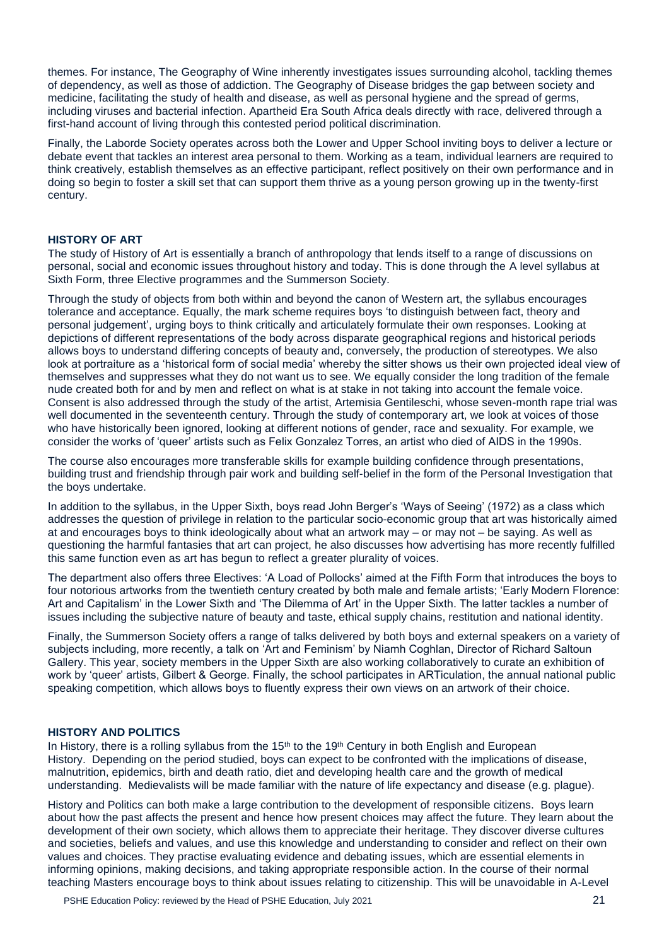themes. For instance, The Geography of Wine inherently investigates issues surrounding alcohol, tackling themes of dependency, as well as those of addiction. The Geography of Disease bridges the gap between society and medicine, facilitating the study of health and disease, as well as personal hygiene and the spread of germs, including viruses and bacterial infection. Apartheid Era South Africa deals directly with race, delivered through a first-hand account of living through this contested period political discrimination.

Finally, the Laborde Society operates across both the Lower and Upper School inviting boys to deliver a lecture or debate event that tackles an interest area personal to them. Working as a team, individual learners are required to think creatively, establish themselves as an effective participant, reflect positively on their own performance and in doing so begin to foster a skill set that can support them thrive as a young person growing up in the twenty-first century.

# **HISTORY OF ART**

The study of History of Art is essentially a branch of anthropology that lends itself to a range of discussions on personal, social and economic issues throughout history and today. This is done through the A level syllabus at Sixth Form, three Elective programmes and the Summerson Society.

Through the study of objects from both within and beyond the canon of Western art, the syllabus encourages tolerance and acceptance. Equally, the mark scheme requires boys 'to distinguish between fact, theory and personal judgement', urging boys to think critically and articulately formulate their own responses. Looking at depictions of different representations of the body across disparate geographical regions and historical periods allows boys to understand differing concepts of beauty and, conversely, the production of stereotypes. We also look at portraiture as a 'historical form of social media' whereby the sitter shows us their own projected ideal view of themselves and suppresses what they do not want us to see. We equally consider the long tradition of the female nude created both for and by men and reflect on what is at stake in not taking into account the female voice. Consent is also addressed through the study of the artist, Artemisia Gentileschi, whose seven-month rape trial was well documented in the seventeenth century. Through the study of contemporary art, we look at voices of those who have historically been ignored, looking at different notions of gender, race and sexuality. For example, we consider the works of 'queer' artists such as Felix Gonzalez Torres, an artist who died of AIDS in the 1990s.

The course also encourages more transferable skills for example building confidence through presentations, building trust and friendship through pair work and building self-belief in the form of the Personal Investigation that the boys undertake.

In addition to the syllabus, in the Upper Sixth, boys read John Berger's 'Ways of Seeing' (1972) as a class which addresses the question of privilege in relation to the particular socio-economic group that art was historically aimed at and encourages boys to think ideologically about what an artwork may – or may not – be saying. As well as questioning the harmful fantasies that art can project, he also discusses how advertising has more recently fulfilled this same function even as art has begun to reflect a greater plurality of voices.

The department also offers three Electives: 'A Load of Pollocks' aimed at the Fifth Form that introduces the boys to four notorious artworks from the twentieth century created by both male and female artists; 'Early Modern Florence: Art and Capitalism' in the Lower Sixth and 'The Dilemma of Art' in the Upper Sixth. The latter tackles a number of issues including the subjective nature of beauty and taste, ethical supply chains, restitution and national identity.

Finally, the Summerson Society offers a range of talks delivered by both boys and external speakers on a variety of subjects including, more recently, a talk on 'Art and Feminism' by Niamh Coghlan, Director of Richard Saltoun Gallery. This year, society members in the Upper Sixth are also working collaboratively to curate an exhibition of work by 'queer' artists, Gilbert & George. Finally, the school participates in ARTiculation, the annual national public speaking competition, which allows boys to fluently express their own views on an artwork of their choice.

# **HISTORY AND POLITICS**

In History, there is a rolling syllabus from the  $15<sup>th</sup>$  to the  $19<sup>th</sup>$  Century in both English and European History. Depending on the period studied, boys can expect to be confronted with the implications of disease, malnutrition, epidemics, birth and death ratio, diet and developing health care and the growth of medical understanding. Medievalists will be made familiar with the nature of life expectancy and disease (e.g. plague).

History and Politics can both make a large contribution to the development of responsible citizens. Boys learn about how the past affects the present and hence how present choices may affect the future. They learn about the development of their own society, which allows them to appreciate their heritage. They discover diverse cultures and societies, beliefs and values, and use this knowledge and understanding to consider and reflect on their own values and choices. They practise evaluating evidence and debating issues, which are essential elements in informing opinions, making decisions, and taking appropriate responsible action. In the course of their normal teaching Masters encourage boys to think about issues relating to citizenship. This will be unavoidable in A-Level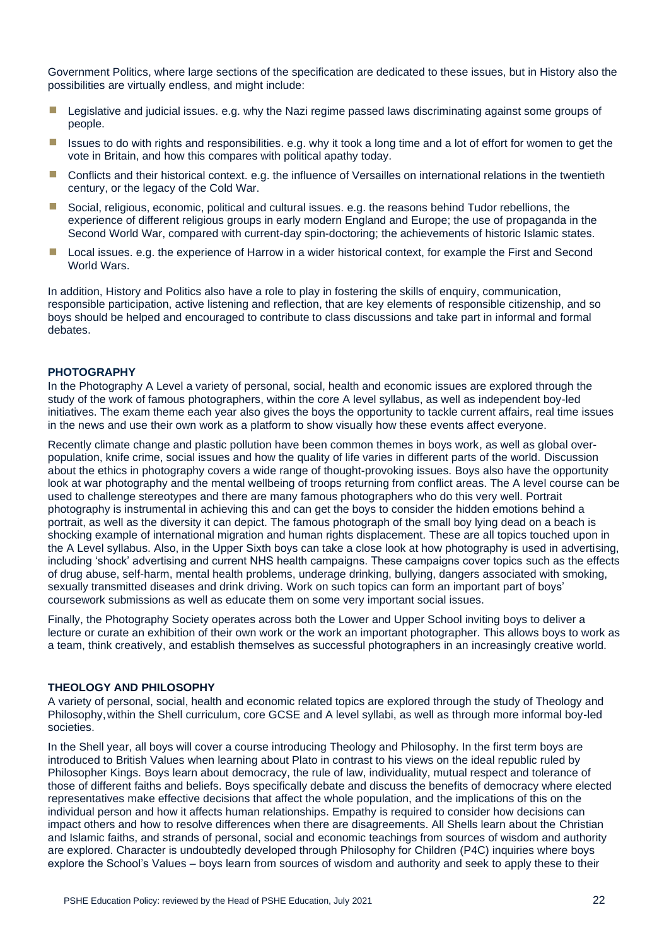Government Politics, where large sections of the specification are dedicated to these issues, but in History also the possibilities are virtually endless, and might include:

- Legislative and judicial issues. e.g. why the Nazi regime passed laws discriminating against some groups of people.
- Issues to do with rights and responsibilities. e.g. why it took a long time and a lot of effort for women to get the vote in Britain, and how this compares with political apathy today.
- Conflicts and their historical context. e.g. the influence of Versailles on international relations in the twentieth century, or the legacy of the Cold War.
- Social, religious, economic, political and cultural issues. e.g. the reasons behind Tudor rebellions, the experience of different religious groups in early modern England and Europe; the use of propaganda in the Second World War, compared with current-day spin-doctoring; the achievements of historic Islamic states.
- Local issues. e.g. the experience of Harrow in a wider historical context, for example the First and Second World Wars.

In addition, History and Politics also have a role to play in fostering the skills of enquiry, communication, responsible participation, active listening and reflection, that are key elements of responsible citizenship, and so boys should be helped and encouraged to contribute to class discussions and take part in informal and formal debates.

#### **PHOTOGRAPHY**

In the Photography A Level a variety of personal, social, health and economic issues are explored through the study of the work of famous photographers, within the core A level syllabus, as well as independent boy-led initiatives. The exam theme each year also gives the boys the opportunity to tackle current affairs, real time issues in the news and use their own work as a platform to show visually how these events affect everyone.

Recently climate change and plastic pollution have been common themes in boys work, as well as global overpopulation, knife crime, social issues and how the quality of life varies in different parts of the world. Discussion about the ethics in photography covers a wide range of thought-provoking issues. Boys also have the opportunity look at war photography and the mental wellbeing of troops returning from conflict areas. The A level course can be used to challenge stereotypes and there are many famous photographers who do this very well. Portrait photography is instrumental in achieving this and can get the boys to consider the hidden emotions behind a portrait, as well as the diversity it can depict. The famous photograph of the small boy lying dead on a beach is shocking example of international migration and human rights displacement. These are all topics touched upon in the A Level syllabus. Also, in the Upper Sixth boys can take a close look at how photography is used in advertising, including 'shock' advertising and current NHS health campaigns. These campaigns cover topics such as the effects of drug abuse, self-harm, mental health problems, underage drinking, bullying, dangers associated with smoking, sexually transmitted diseases and drink driving. Work on such topics can form an important part of boys' coursework submissions as well as educate them on some very important social issues.

Finally, the Photography Society operates across both the Lower and Upper School inviting boys to deliver a lecture or curate an exhibition of their own work or the work an important photographer. This allows boys to work as a team, think creatively, and establish themselves as successful photographers in an increasingly creative world.

#### **THEOLOGY AND PHILOSOPHY**

A variety of personal, social, health and economic related topics are explored through the study of Theology and Philosophy,within the Shell curriculum, core GCSE and A level syllabi, as well as through more informal boy-led societies.

In the Shell year, all boys will cover a course introducing Theology and Philosophy. In the first term boys are introduced to British Values when learning about Plato in contrast to his views on the ideal republic ruled by Philosopher Kings. Boys learn about democracy, the rule of law, individuality, mutual respect and tolerance of those of different faiths and beliefs. Boys specifically debate and discuss the benefits of democracy where elected representatives make effective decisions that affect the whole population, and the implications of this on the individual person and how it affects human relationships. Empathy is required to consider how decisions can impact others and how to resolve differences when there are disagreements. All Shells learn about the Christian and Islamic faiths, and strands of personal, social and economic teachings from sources of wisdom and authority are explored. Character is undoubtedly developed through Philosophy for Children (P4C) inquiries where boys explore the School's Values – boys learn from sources of wisdom and authority and seek to apply these to their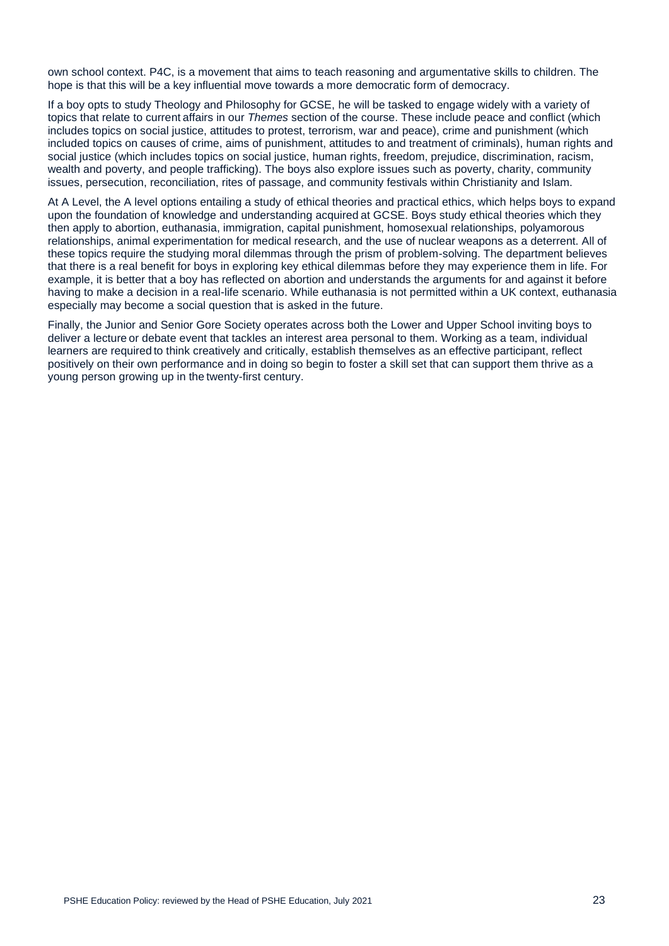own school context. P4C, is a movement that aims to teach reasoning and argumentative skills to children. The hope is that this will be a key influential move towards a more democratic form of democracy.

If a boy opts to study Theology and Philosophy for GCSE, he will be tasked to engage widely with a variety of topics that relate to current affairs in our *Themes* section of the course. These include peace and conflict (which includes topics on social justice, attitudes to protest, terrorism, war and peace), crime and punishment (which included topics on causes of crime, aims of punishment, attitudes to and treatment of criminals), human rights and social justice (which includes topics on social justice, human rights, freedom, prejudice, discrimination, racism, wealth and poverty, and people trafficking). The boys also explore issues such as poverty, charity, community issues, persecution, reconciliation, rites of passage, and community festivals within Christianity and Islam.

At A Level, the A level options entailing a study of ethical theories and practical ethics, which helps boys to expand upon the foundation of knowledge and understanding acquired at GCSE. Boys study ethical theories which they then apply to abortion, euthanasia, immigration, capital punishment, homosexual relationships, polyamorous relationships, animal experimentation for medical research, and the use of nuclear weapons as a deterrent. All of these topics require the studying moral dilemmas through the prism of problem-solving. The department believes that there is a real benefit for boys in exploring key ethical dilemmas before they may experience them in life. For example, it is better that a boy has reflected on abortion and understands the arguments for and against it before having to make a decision in a real-life scenario. While euthanasia is not permitted within a UK context, euthanasia especially may become a social question that is asked in the future.

Finally, the Junior and Senior Gore Society operates across both the Lower and Upper School inviting boys to deliver a lecture or debate event that tackles an interest area personal to them. Working as a team, individual learners are required to think creatively and critically, establish themselves as an effective participant, reflect positively on their own performance and in doing so begin to foster a skill set that can support them thrive as a young person growing up in the twenty-first century.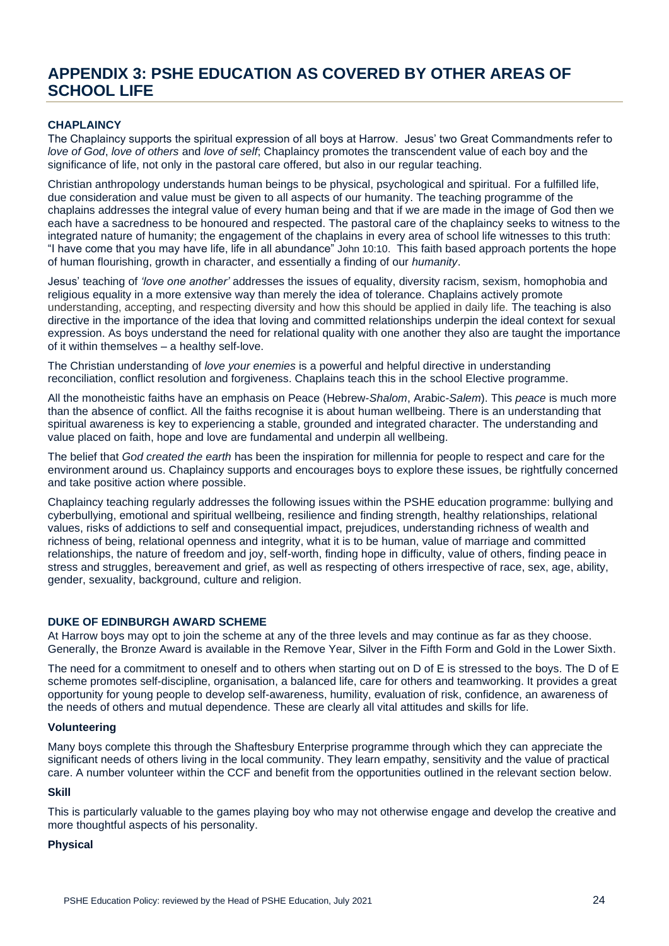# **APPENDIX 3: PSHE EDUCATION AS COVERED BY OTHER AREAS OF SCHOOL LIFE**

# **CHAPLAINCY**

The Chaplaincy supports the spiritual expression of all boys at Harrow. Jesus' two Great Commandments refer to *love of God*, *love of others* and *love of self*; Chaplaincy promotes the transcendent value of each boy and the significance of life, not only in the pastoral care offered, but also in our regular teaching.

Christian anthropology understands human beings to be physical, psychological and spiritual. For a fulfilled life, due consideration and value must be given to all aspects of our humanity. The teaching programme of the chaplains addresses the integral value of every human being and that if we are made in the image of God then we each have a sacredness to be honoured and respected. The pastoral care of the chaplaincy seeks to witness to the integrated nature of humanity; the engagement of the chaplains in every area of school life witnesses to this truth: "I have come that you may have life, life in all abundance" John 10:10. This faith based approach portents the hope of human flourishing, growth in character, and essentially a finding of our *humanity*.

Jesus' teaching of *'love one another'* addresses the issues of equality, diversity racism, sexism, homophobia and religious equality in a more extensive way than merely the idea of tolerance. Chaplains actively promote understanding, accepting, and respecting diversity and how this should be applied in daily life. The teaching is also directive in the importance of the idea that loving and committed relationships underpin the ideal context for sexual expression. As boys understand the need for relational quality with one another they also are taught the importance of it within themselves – a healthy self-love.

The Christian understanding of *love your enemies* is a powerful and helpful directive in understanding reconciliation, conflict resolution and forgiveness. Chaplains teach this in the school Elective programme.

All the monotheistic faiths have an emphasis on Peace (Hebrew-*Shalom*, Arabic-*Salem*). This *peace* is much more than the absence of conflict. All the faiths recognise it is about human wellbeing. There is an understanding that spiritual awareness is key to experiencing a stable, grounded and integrated character. The understanding and value placed on faith, hope and love are fundamental and underpin all wellbeing.

The belief that *God created the earth* has been the inspiration for millennia for people to respect and care for the environment around us. Chaplaincy supports and encourages boys to explore these issues, be rightfully concerned and take positive action where possible.

Chaplaincy teaching regularly addresses the following issues within the PSHE education programme: bullying and cyberbullying, emotional and spiritual wellbeing, resilience and finding strength, healthy relationships, relational values, risks of addictions to self and consequential impact, prejudices, understanding richness of wealth and richness of being, relational openness and integrity, what it is to be human, value of marriage and committed relationships, the nature of freedom and joy, self-worth, finding hope in difficulty, value of others, finding peace in stress and struggles, bereavement and grief, as well as respecting of others irrespective of race, sex, age, ability, gender, sexuality, background, culture and religion.

# **DUKE OF EDINBURGH AWARD SCHEME**

At Harrow boys may opt to join the scheme at any of the three levels and may continue as far as they choose. Generally, the Bronze Award is available in the Remove Year, Silver in the Fifth Form and Gold in the Lower Sixth.

The need for a commitment to oneself and to others when starting out on D of E is stressed to the boys. The D of E scheme promotes self-discipline, organisation, a balanced life, care for others and teamworking. It provides a great opportunity for young people to develop self-awareness, humility, evaluation of risk, confidence, an awareness of the needs of others and mutual dependence. These are clearly all vital attitudes and skills for life.

#### **Volunteering**

Many boys complete this through the Shaftesbury Enterprise programme through which they can appreciate the significant needs of others living in the local community. They learn empathy, sensitivity and the value of practical care. A number volunteer within the CCF and benefit from the opportunities outlined in the relevant section below.

# **Skill**

This is particularly valuable to the games playing boy who may not otherwise engage and develop the creative and more thoughtful aspects of his personality.

### **Physical**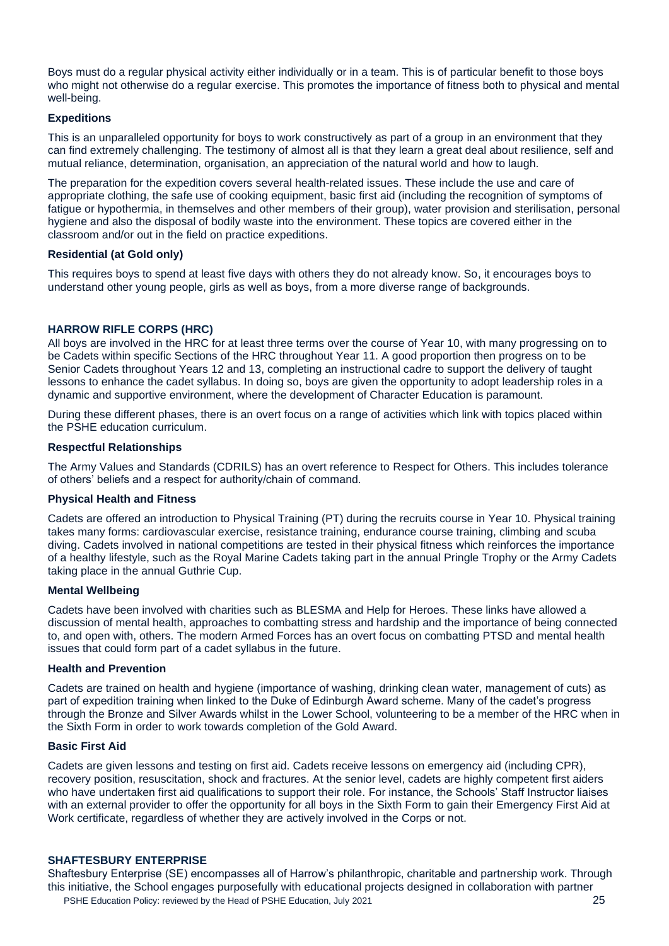Boys must do a regular physical activity either individually or in a team. This is of particular benefit to those boys who might not otherwise do a regular exercise. This promotes the importance of fitness both to physical and mental well-being.

# **Expeditions**

This is an unparalleled opportunity for boys to work constructively as part of a group in an environment that they can find extremely challenging. The testimony of almost all is that they learn a great deal about resilience, self and mutual reliance, determination, organisation, an appreciation of the natural world and how to laugh.

The preparation for the expedition covers several health-related issues. These include the use and care of appropriate clothing, the safe use of cooking equipment, basic first aid (including the recognition of symptoms of fatigue or hypothermia, in themselves and other members of their group), water provision and sterilisation, personal hygiene and also the disposal of bodily waste into the environment. These topics are covered either in the classroom and/or out in the field on practice expeditions.

#### **Residential (at Gold only)**

This requires boys to spend at least five days with others they do not already know. So, it encourages boys to understand other young people, girls as well as boys, from a more diverse range of backgrounds.

### **HARROW RIFLE CORPS (HRC)**

All boys are involved in the HRC for at least three terms over the course of Year 10, with many progressing on to be Cadets within specific Sections of the HRC throughout Year 11. A good proportion then progress on to be Senior Cadets throughout Years 12 and 13, completing an instructional cadre to support the delivery of taught lessons to enhance the cadet syllabus. In doing so, boys are given the opportunity to adopt leadership roles in a dynamic and supportive environment, where the development of Character Education is paramount.

During these different phases, there is an overt focus on a range of activities which link with topics placed within the PSHE education curriculum.

#### **Respectful Relationships**

The Army Values and Standards (CDRILS) has an overt reference to Respect for Others. This includes tolerance of others' beliefs and a respect for authority/chain of command.

#### **Physical Health and Fitness**

Cadets are offered an introduction to Physical Training (PT) during the recruits course in Year 10. Physical training takes many forms: cardiovascular exercise, resistance training, endurance course training, climbing and scuba diving. Cadets involved in national competitions are tested in their physical fitness which reinforces the importance of a healthy lifestyle, such as the Royal Marine Cadets taking part in the annual Pringle Trophy or the Army Cadets taking place in the annual Guthrie Cup.

#### **Mental Wellbeing**

Cadets have been involved with charities such as BLESMA and Help for Heroes. These links have allowed a discussion of mental health, approaches to combatting stress and hardship and the importance of being connected to, and open with, others. The modern Armed Forces has an overt focus on combatting PTSD and mental health issues that could form part of a cadet syllabus in the future.

#### **Health and Prevention**

Cadets are trained on health and hygiene (importance of washing, drinking clean water, management of cuts) as part of expedition training when linked to the Duke of Edinburgh Award scheme. Many of the cadet's progress through the Bronze and Silver Awards whilst in the Lower School, volunteering to be a member of the HRC when in the Sixth Form in order to work towards completion of the Gold Award.

#### **Basic First Aid**

Cadets are given lessons and testing on first aid. Cadets receive lessons on emergency aid (including CPR), recovery position, resuscitation, shock and fractures. At the senior level, cadets are highly competent first aiders who have undertaken first aid qualifications to support their role. For instance, the Schools' Staff Instructor liaises with an external provider to offer the opportunity for all boys in the Sixth Form to gain their Emergency First Aid at Work certificate, regardless of whether they are actively involved in the Corps or not.

#### **SHAFTESBURY ENTERPRISE**

PSHE Education Policy: reviewed by the Head of PSHE Education, July 2021 25 Shaftesbury Enterprise (SE) encompasses all of Harrow's philanthropic, charitable and partnership work. Through this initiative, the School engages purposefully with educational projects designed in collaboration with partner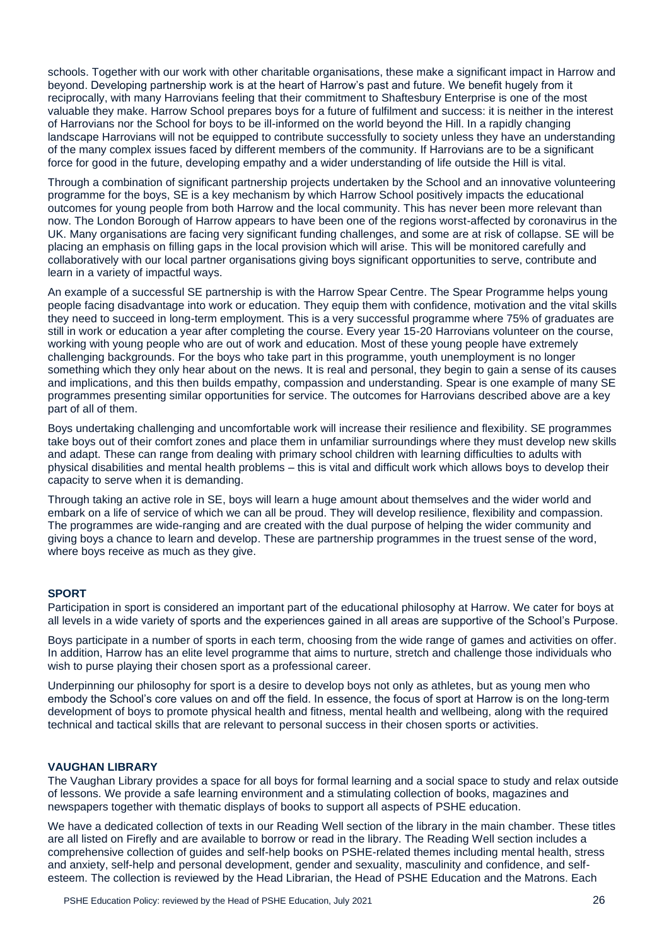schools. Together with our work with other charitable organisations, these make a significant impact in Harrow and beyond. Developing partnership work is at the heart of Harrow's past and future. We benefit hugely from it reciprocally, with many Harrovians feeling that their commitment to Shaftesbury Enterprise is one of the most valuable they make. Harrow School prepares boys for a future of fulfilment and success: it is neither in the interest of Harrovians nor the School for boys to be ill-informed on the world beyond the Hill. In a rapidly changing landscape Harrovians will not be equipped to contribute successfully to society unless they have an understanding of the many complex issues faced by different members of the community. If Harrovians are to be a significant force for good in the future, developing empathy and a wider understanding of life outside the Hill is vital.

Through a combination of significant partnership projects undertaken by the School and an innovative volunteering programme for the boys, SE is a key mechanism by which Harrow School positively impacts the educational outcomes for young people from both Harrow and the local community. This has never been more relevant than now. The London Borough of Harrow appears to have been one of the regions worst-affected by coronavirus in the UK. Many organisations are facing very significant funding challenges, and some are at risk of collapse. SE will be placing an emphasis on filling gaps in the local provision which will arise. This will be monitored carefully and collaboratively with our local partner organisations giving boys significant opportunities to serve, contribute and learn in a variety of impactful ways.

An example of a successful SE partnership is with the Harrow Spear Centre. The Spear Programme helps young people facing disadvantage into work or education. They equip them with confidence, motivation and the vital skills they need to succeed in long-term employment. This is a very successful programme where 75% of graduates are still in work or education a year after completing the course. Every year 15-20 Harrovians volunteer on the course, working with young people who are out of work and education. Most of these young people have extremely challenging backgrounds. For the boys who take part in this programme, youth unemployment is no longer something which they only hear about on the news. It is real and personal, they begin to gain a sense of its causes and implications, and this then builds empathy, compassion and understanding. Spear is one example of many SE programmes presenting similar opportunities for service. The outcomes for Harrovians described above are a key part of all of them.

Boys undertaking challenging and uncomfortable work will increase their resilience and flexibility. SE programmes take boys out of their comfort zones and place them in unfamiliar surroundings where they must develop new skills and adapt. These can range from dealing with primary school children with learning difficulties to adults with physical disabilities and mental health problems – this is vital and difficult work which allows boys to develop their capacity to serve when it is demanding.

Through taking an active role in SE, boys will learn a huge amount about themselves and the wider world and embark on a life of service of which we can all be proud. They will develop resilience, flexibility and compassion. The programmes are wide-ranging and are created with the dual purpose of helping the wider community and giving boys a chance to learn and develop. These are partnership programmes in the truest sense of the word, where boys receive as much as they give.

#### **SPORT**

Participation in sport is considered an important part of the educational philosophy at Harrow. We cater for boys at all levels in a wide variety of sports and the experiences gained in all areas are supportive of the School's Purpose.

Boys participate in a number of sports in each term, choosing from the wide range of games and activities on offer. In addition, Harrow has an elite level programme that aims to nurture, stretch and challenge those individuals who wish to purse playing their chosen sport as a professional career.

Underpinning our philosophy for sport is a desire to develop boys not only as athletes, but as young men who embody the School's core values on and off the field. In essence, the focus of sport at Harrow is on the long-term development of boys to promote physical health and fitness, mental health and wellbeing, along with the required technical and tactical skills that are relevant to personal success in their chosen sports or activities.

#### **VAUGHAN LIBRARY**

The Vaughan Library provides a space for all boys for formal learning and a social space to study and relax outside of lessons. We provide a safe learning environment and a stimulating collection of books, magazines and newspapers together with thematic displays of books to support all aspects of PSHE education.

We have a dedicated collection of texts in our Reading Well section of the library in the main chamber. These titles are all listed on Firefly and are available to borrow or read in the library. The Reading Well section includes a comprehensive collection of guides and self-help books on PSHE-related themes including mental health, stress and anxiety, self-help and personal development, gender and sexuality, masculinity and confidence, and selfesteem. The collection is reviewed by the Head Librarian, the Head of PSHE Education and the Matrons. Each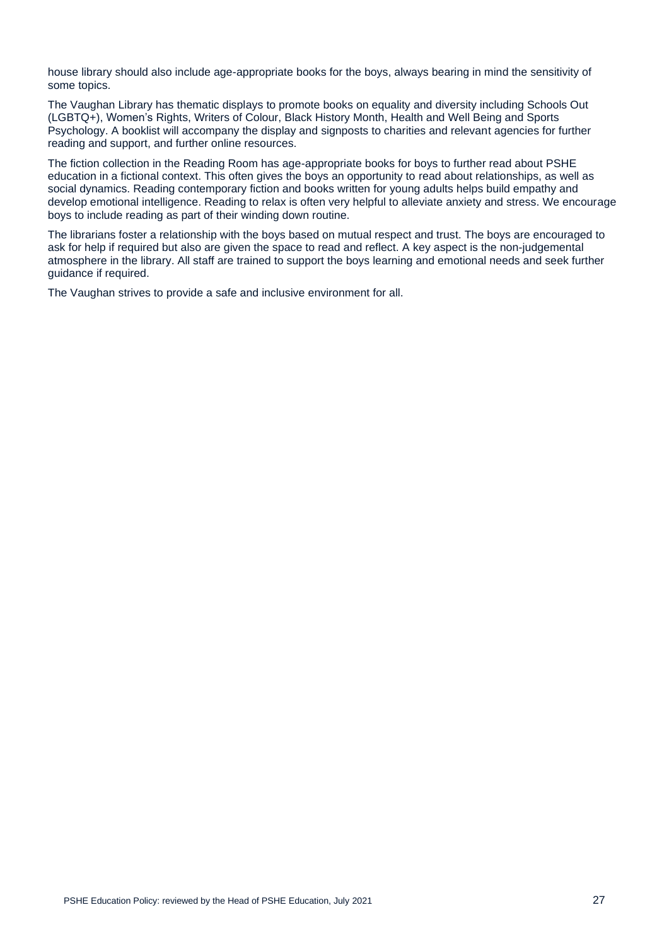house library should also include age-appropriate books for the boys, always bearing in mind the sensitivity of some topics.

The Vaughan Library has thematic displays to promote books on equality and diversity including Schools Out (LGBTQ+), Women's Rights, Writers of Colour, Black History Month, Health and Well Being and Sports Psychology. A booklist will accompany the display and signposts to charities and relevant agencies for further reading and support, and further online resources.

The fiction collection in the Reading Room has age-appropriate books for boys to further read about PSHE education in a fictional context. This often gives the boys an opportunity to read about relationships, as well as social dynamics. Reading contemporary fiction and books written for young adults helps build empathy and develop emotional intelligence. Reading to relax is often very helpful to alleviate anxiety and stress. We encourage boys to include reading as part of their winding down routine.

The librarians foster a relationship with the boys based on mutual respect and trust. The boys are encouraged to ask for help if required but also are given the space to read and reflect. A key aspect is the non-judgemental atmosphere in the library. All staff are trained to support the boys learning and emotional needs and seek further guidance if required.

The Vaughan strives to provide a safe and inclusive environment for all.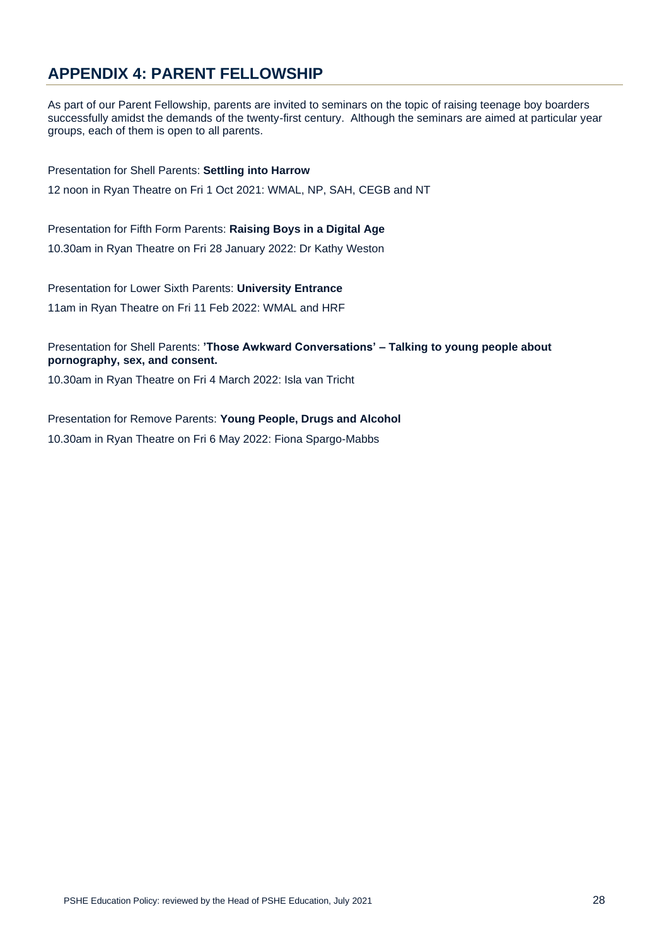# **APPENDIX 4: PARENT FELLOWSHIP**

As part of our Parent Fellowship, parents are invited to seminars on the topic of raising teenage boy boarders successfully amidst the demands of the twenty-first century. Although the seminars are aimed at particular year groups, each of them is open to all parents.

Presentation for Shell Parents: **Settling into Harrow** 12 noon in Ryan Theatre on Fri 1 Oct 2021: WMAL, NP, SAH, CEGB and NT

Presentation for Fifth Form Parents: **Raising Boys in a Digital Age** 10.30am in Ryan Theatre on Fri 28 January 2022: Dr Kathy Weston

Presentation for Lower Sixth Parents: **University Entrance** 11am in Ryan Theatre on Fri 11 Feb 2022: WMAL and HRF

Presentation for Shell Parents: **'Those Awkward Conversations' – Talking to young people about pornography, sex, and consent.**

10.30am in Ryan Theatre on Fri 4 March 2022: Isla van Tricht

Presentation for Remove Parents: **Young People, Drugs and Alcohol** 10.30am in Ryan Theatre on Fri 6 May 2022: Fiona Spargo-Mabbs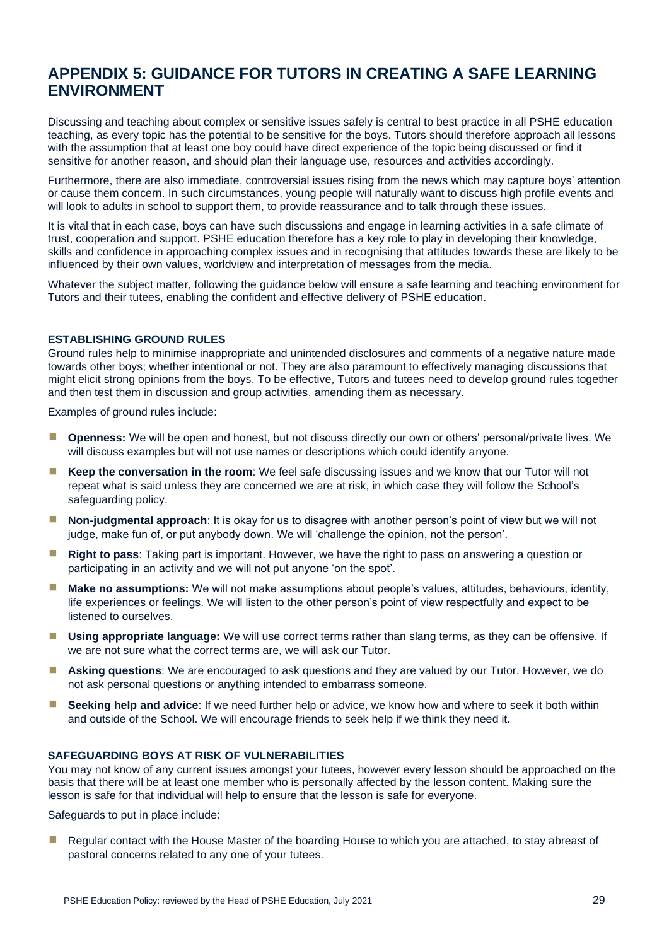# **APPENDIX 5: GUIDANCE FOR TUTORS IN CREATING A SAFE LEARNING ENVIRONMENT**

Discussing and teaching about complex or sensitive issues safely is central to best practice in all PSHE education teaching, as every topic has the potential to be sensitive for the boys. Tutors should therefore approach all lessons with the assumption that at least one boy could have direct experience of the topic being discussed or find it sensitive for another reason, and should plan their language use, resources and activities accordingly.

Furthermore, there are also immediate, controversial issues rising from the news which may capture boys' attention or cause them concern. In such circumstances, young people will naturally want to discuss high profile events and will look to adults in school to support them, to provide reassurance and to talk through these issues.

It is vital that in each case, boys can have such discussions and engage in learning activities in a safe climate of trust, cooperation and support. PSHE education therefore has a key role to play in developing their knowledge, skills and confidence in approaching complex issues and in recognising that attitudes towards these are likely to be influenced by their own values, worldview and interpretation of messages from the media.

Whatever the subject matter, following the guidance below will ensure a safe learning and teaching environment for Tutors and their tutees, enabling the confident and effective delivery of PSHE education.

# **ESTABLISHING GROUND RULES**

Ground rules help to minimise inappropriate and unintended disclosures and comments of a negative nature made towards other boys; whether intentional or not. They are also paramount to effectively managing discussions that might elicit strong opinions from the boys. To be effective, Tutors and tutees need to develop ground rules together and then test them in discussion and group activities, amending them as necessary.

Examples of ground rules include:

- **Openness:** We will be open and honest, but not discuss directly our own or others' personal/private lives. We will discuss examples but will not use names or descriptions which could identify anyone.
- Keep the conversation in the room: We feel safe discussing issues and we know that our Tutor will not repeat what is said unless they are concerned we are at risk, in which case they will follow the School's safeguarding policy.
- **INON-judgmental approach**: It is okay for us to disagree with another person's point of view but we will not judge, make fun of, or put anybody down. We will 'challenge the opinion, not the person'.
- **Right to pass**: Taking part is important. However, we have the right to pass on answering a question or participating in an activity and we will not put anyone 'on the spot'.
- **Make no assumptions:** We will not make assumptions about people's values, attitudes, behaviours, identity, life experiences or feelings. We will listen to the other person's point of view respectfully and expect to be listened to ourselves.
- **Using appropriate language:** We will use correct terms rather than slang terms, as they can be offensive. If we are not sure what the correct terms are, we will ask our Tutor.
- **E** Asking questions: We are encouraged to ask questions and they are valued by our Tutor. However, we do not ask personal questions or anything intended to embarrass someone.
- **E** Seeking help and advice: If we need further help or advice, we know how and where to seek it both within and outside of the School. We will encourage friends to seek help if we think they need it.

### **SAFEGUARDING BOYS AT RISK OF VULNERABILITIES**

You may not know of any current issues amongst your tutees, however every lesson should be approached on the basis that there will be at least one member who is personally affected by the lesson content. Making sure the lesson is safe for that individual will help to ensure that the lesson is safe for everyone.

Safeguards to put in place include:

■ Regular contact with the House Master of the boarding House to which you are attached, to stay abreast of pastoral concerns related to any one of your tutees.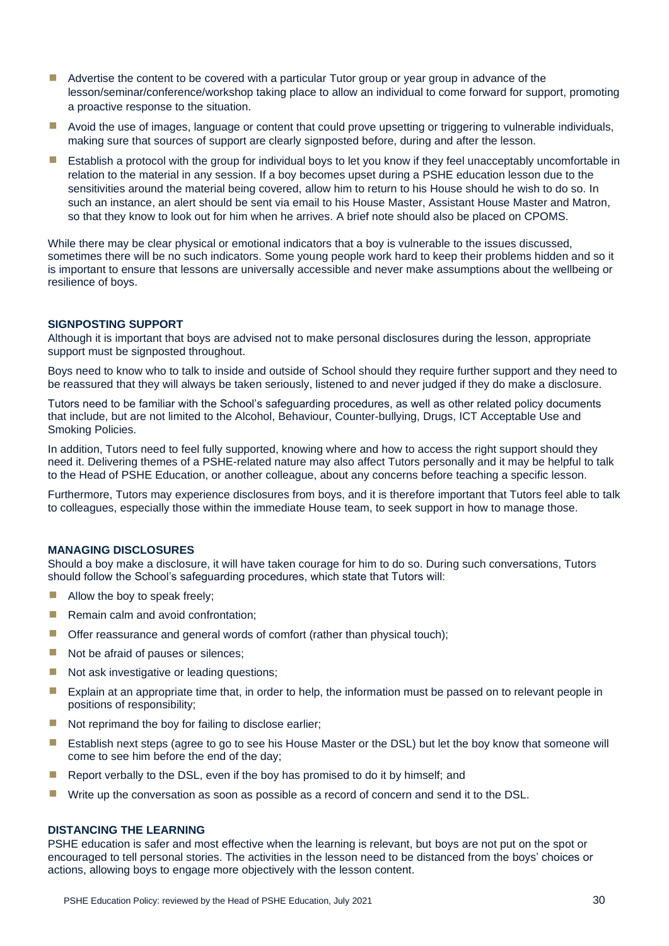- Advertise the content to be covered with a particular Tutor group or year group in advance of the lesson/seminar/conference/workshop taking place to allow an individual to come forward for support, promoting a proactive response to the situation.
- Avoid the use of images, language or content that could prove upsetting or triggering to vulnerable individuals, making sure that sources of support are clearly signposted before, during and after the lesson.
- **E** Establish a protocol with the group for individual boys to let you know if they feel unacceptably uncomfortable in relation to the material in any session. If a boy becomes upset during a PSHE education lesson due to the sensitivities around the material being covered, allow him to return to his House should he wish to do so. In such an instance, an alert should be sent via email to his House Master, Assistant House Master and Matron, so that they know to look out for him when he arrives. A brief note should also be placed on CPOMS.

While there may be clear physical or emotional indicators that a boy is vulnerable to the issues discussed, sometimes there will be no such indicators. Some young people work hard to keep their problems hidden and so it is important to ensure that lessons are universally accessible and never make assumptions about the wellbeing or resilience of boys.

## **SIGNPOSTING SUPPORT**

Although it is important that boys are advised not to make personal disclosures during the lesson, appropriate support must be signposted throughout.

Boys need to know who to talk to inside and outside of School should they require further support and they need to be reassured that they will always be taken seriously, listened to and never judged if they do make a disclosure.

Tutors need to be familiar with the School's safeguarding procedures, as well as other related policy documents that include, but are not limited to the Alcohol, Behaviour, Counter-bullying, Drugs, ICT Acceptable Use and Smoking Policies.

In addition, Tutors need to feel fully supported, knowing where and how to access the right support should they need it. Delivering themes of a PSHE-related nature may also affect Tutors personally and it may be helpful to talk to the Head of PSHE Education, or another colleague, about any concerns before teaching a specific lesson.

Furthermore, Tutors may experience disclosures from boys, and it is therefore important that Tutors feel able to talk to colleagues, especially those within the immediate House team, to seek support in how to manage those.

# **MANAGING DISCLOSURES**

Should a boy make a disclosure, it will have taken courage for him to do so. During such conversations, Tutors should follow the School's safeguarding procedures, which state that Tutors will:

- $\blacksquare$  Allow the boy to speak freely;
- Remain calm and avoid confrontation:
- $\blacksquare$  Offer reassurance and general words of comfort (rather than physical touch);
- Not be afraid of pauses or silences;
- Not ask investigative or leading questions:
- Explain at an appropriate time that, in order to help, the information must be passed on to relevant people in positions of responsibility;
- Not reprimand the boy for failing to disclose earlier:
- **E** Establish next steps (agree to go to see his House Master or the DSL) but let the boy know that someone will come to see him before the end of the day;
- **E** Report verbally to the DSL, even if the boy has promised to do it by himself; and
- **■** Write up the conversation as soon as possible as a record of concern and send it to the DSL.

#### **DISTANCING THE LEARNING**

PSHE education is safer and most effective when the learning is relevant, but boys are not put on the spot or encouraged to tell personal stories. The activities in the lesson need to be distanced from the boys' choices or actions, allowing boys to engage more objectively with the lesson content.